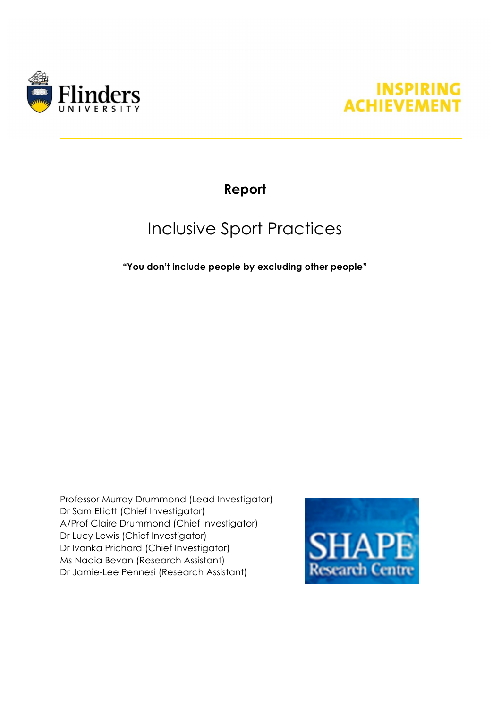



# **Report**

# Inclusive Sport Practices

**"You don't include people by excluding other people"**

Professor Murray Drummond (Lead Investigator) Dr Sam Elliott (Chief Investigator) A/Prof Claire Drummond (Chief Investigator) Dr Lucy Lewis (Chief Investigator) Dr Ivanka Prichard (Chief Investigator) Ms Nadia Bevan (Research Assistant) Dr Jamie-Lee Pennesi (Research Assistant)

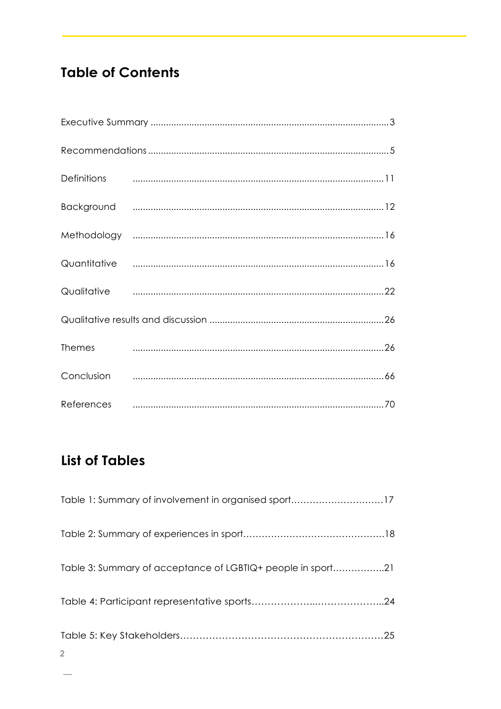# **Table of Contents**

| <b>Themes</b> |  |
|---------------|--|
|               |  |
|               |  |

# **List of Tables**

| Table 1: Summary of involvement in organised sport17      |  |
|-----------------------------------------------------------|--|
|                                                           |  |
| Table 3: Summary of acceptance of LGBTIQ+ people in sport |  |
|                                                           |  |
|                                                           |  |

 $\overline{2}$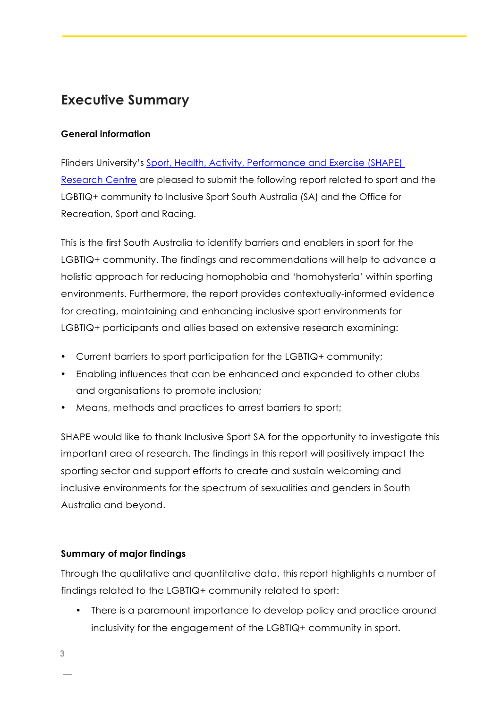## **Executive Summary**

#### **General information**

Flinders University's Sport, Health, Activity, Performance and Exercise (SHAPE) Research Centre are pleased to submit the following report related to sport and the LGBTIQ+ community to Inclusive Sport South Australia (SA) and the Office for Recreation, Sport and Racing.

This is the first South Australia to identify barriers and enablers in sport for the LGBTIQ+ community. The findings and recommendations will help to advance a holistic approach for reducing homophobia and 'homohysteria' within sporting environments. Furthermore, the report provides contextually-informed evidence for creating, maintaining and enhancing inclusive sport environments for LGBTIQ+ participants and allies based on extensive research examining:

- Current barriers to sport participation for the LGBTIQ+ community;
- Enabling influences that can be enhanced and expanded to other clubs and organisations to promote inclusion;
- Means, methods and practices to arrest barriers to sport;

SHAPE would like to thank Inclusive Sport SA for the opportunity to investigate this important area of research. The findings in this report will positively impact the sporting sector and support efforts to create and sustain welcoming and inclusive environments for the spectrum of sexualities and genders in South Australia and beyond.

#### **Summary of major findings**

Through the qualitative and quantitative data, this report highlights a number of findings related to the LGBTIQ+ community related to sport:

• There is a paramount importance to develop policy and practice around inclusivity for the engagement of the LGBTIQ+ community in sport.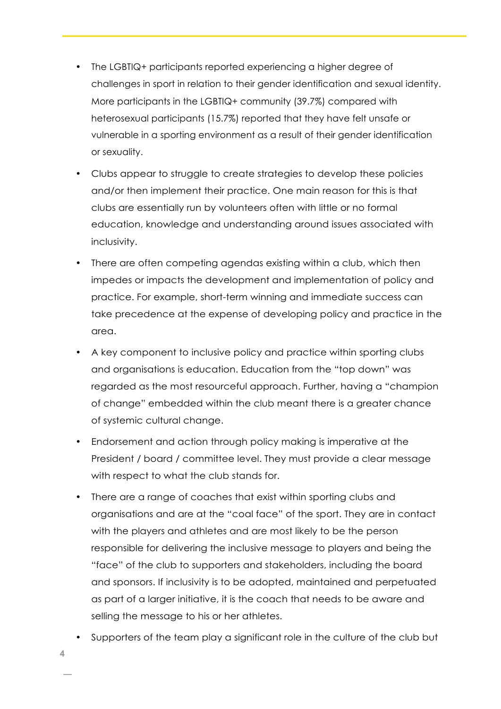- The LGBTIQ+ participants reported experiencing a higher degree of challenges in sport in relation to their gender identification and sexual identity. More participants in the LGBTIQ+ community (39.7%) compared with heterosexual participants (15.7%) reported that they have felt unsafe or vulnerable in a sporting environment as a result of their gender identification or sexuality.
- Clubs appear to struggle to create strategies to develop these policies and/or then implement their practice. One main reason for this is that clubs are essentially run by volunteers often with little or no formal education, knowledge and understanding around issues associated with inclusivity.
- There are often competing agendas existing within a club, which then impedes or impacts the development and implementation of policy and practice. For example, short-term winning and immediate success can take precedence at the expense of developing policy and practice in the area.
- A key component to inclusive policy and practice within sporting clubs and organisations is education. Education from the "top down" was regarded as the most resourceful approach. Further, having a "champion of change" embedded within the club meant there is a greater chance of systemic cultural change.
- Endorsement and action through policy making is imperative at the President / board / committee level. They must provide a clear message with respect to what the club stands for.
- There are a range of coaches that exist within sporting clubs and organisations and are at the "coal face" of the sport. They are in contact with the players and athletes and are most likely to be the person responsible for delivering the inclusive message to players and being the "face" of the club to supporters and stakeholders, including the board and sponsors. If inclusivity is to be adopted, maintained and perpetuated as part of a larger initiative, it is the coach that needs to be aware and selling the message to his or her athletes.
- Supporters of the team play a significant role in the culture of the club but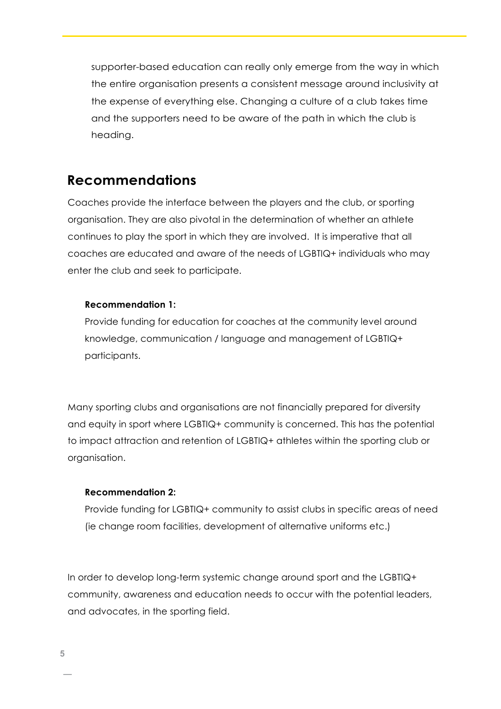supporter-based education can really only emerge from the way in which the entire organisation presents a consistent message around inclusivity at the expense of everything else. Changing a culture of a club takes time and the supporters need to be aware of the path in which the club is heading.

### **Recommendations**

Coaches provide the interface between the players and the club, or sporting organisation. They are also pivotal in the determination of whether an athlete continues to play the sport in which they are involved. It is imperative that all coaches are educated and aware of the needs of LGBTIQ+ individuals who may enter the club and seek to participate.

#### **Recommendation 1:**

Provide funding for education for coaches at the community level around knowledge, communication / language and management of LGBTIQ+ participants.

Many sporting clubs and organisations are not financially prepared for diversity and equity in sport where LGBTIQ+ community is concerned. This has the potential to impact attraction and retention of LGBTIQ+ athletes within the sporting club or organisation.

#### **Recommendation 2:**

Provide funding for LGBTIQ+ community to assist clubs in specific areas of need (ie change room facilities, development of alternative uniforms etc.)

In order to develop long-term systemic change around sport and the LGBTIQ+ community, awareness and education needs to occur with the potential leaders, and advocates, in the sporting field.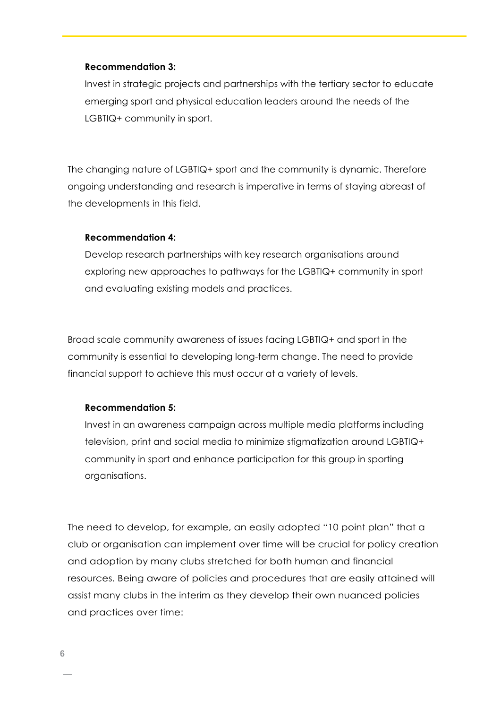#### **Recommendation 3:**

Invest in strategic projects and partnerships with the tertiary sector to educate emerging sport and physical education leaders around the needs of the LGBTIQ+ community in sport.

The changing nature of LGBTIQ+ sport and the community is dynamic. Therefore ongoing understanding and research is imperative in terms of staying abreast of the developments in this field.

#### **Recommendation 4:**

Develop research partnerships with key research organisations around exploring new approaches to pathways for the LGBTIQ+ community in sport and evaluating existing models and practices.

Broad scale community awareness of issues facing LGBTIQ+ and sport in the community is essential to developing long-term change. The need to provide financial support to achieve this must occur at a variety of levels.

#### **Recommendation 5:**

Invest in an awareness campaign across multiple media platforms including television, print and social media to minimize stigmatization around LGBTIQ+ community in sport and enhance participation for this group in sporting organisations.

The need to develop, for example, an easily adopted "10 point plan" that a club or organisation can implement over time will be crucial for policy creation and adoption by many clubs stretched for both human and financial resources. Being aware of policies and procedures that are easily attained will assist many clubs in the interim as they develop their own nuanced policies and practices over time: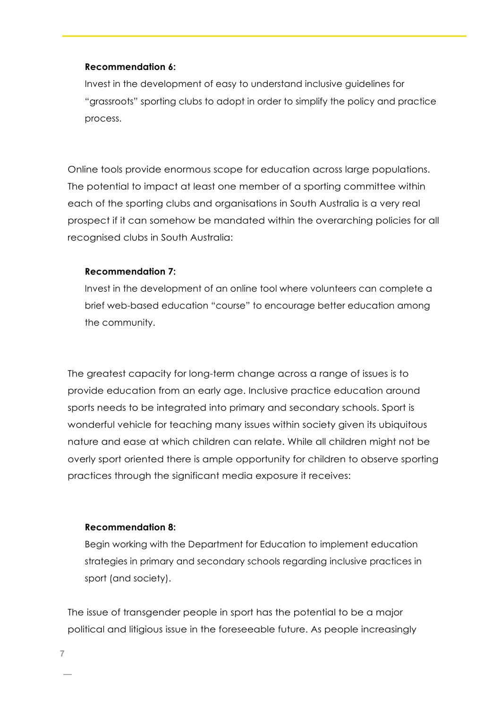#### **Recommendation 6:**

Invest in the development of easy to understand inclusive guidelines for "grassroots" sporting clubs to adopt in order to simplify the policy and practice process.

Online tools provide enormous scope for education across large populations. The potential to impact at least one member of a sporting committee within each of the sporting clubs and organisations in South Australia is a very real prospect if it can somehow be mandated within the overarching policies for all recognised clubs in South Australia:

#### **Recommendation 7:**

Invest in the development of an online tool where volunteers can complete a brief web-based education "course" to encourage better education among the community.

The greatest capacity for long-term change across a range of issues is to provide education from an early age. Inclusive practice education around sports needs to be integrated into primary and secondary schools. Sport is wonderful vehicle for teaching many issues within society given its ubiquitous nature and ease at which children can relate. While all children might not be overly sport oriented there is ample opportunity for children to observe sporting practices through the significant media exposure it receives:

#### **Recommendation 8:**

Begin working with the Department for Education to implement education strategies in primary and secondary schools regarding inclusive practices in sport (and society).

The issue of transgender people in sport has the potential to be a major political and litigious issue in the foreseeable future. As people increasingly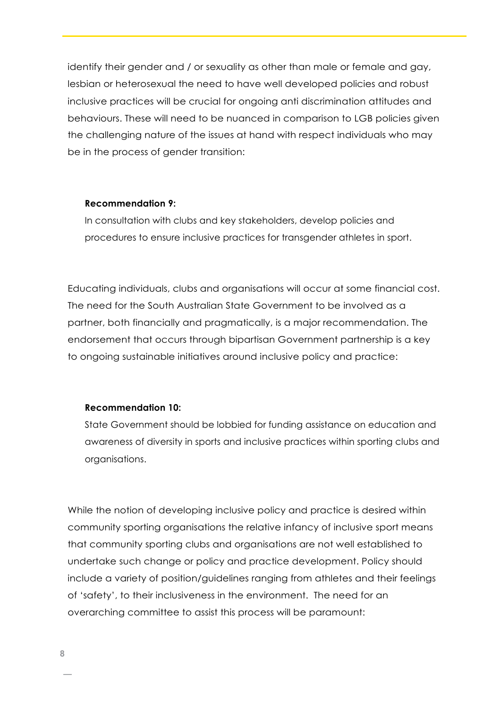identify their gender and / or sexuality as other than male or female and gay, lesbian or heterosexual the need to have well developed policies and robust inclusive practices will be crucial for ongoing anti discrimination attitudes and behaviours. These will need to be nuanced in comparison to LGB policies given the challenging nature of the issues at hand with respect individuals who may be in the process of gender transition:

#### **Recommendation 9:**

In consultation with clubs and key stakeholders, develop policies and procedures to ensure inclusive practices for transgender athletes in sport.

Educating individuals, clubs and organisations will occur at some financial cost. The need for the South Australian State Government to be involved as a partner, both financially and pragmatically, is a major recommendation. The endorsement that occurs through bipartisan Government partnership is a key to ongoing sustainable initiatives around inclusive policy and practice:

#### **Recommendation 10:**

State Government should be lobbied for funding assistance on education and awareness of diversity in sports and inclusive practices within sporting clubs and organisations.

While the notion of developing inclusive policy and practice is desired within community sporting organisations the relative infancy of inclusive sport means that community sporting clubs and organisations are not well established to undertake such change or policy and practice development. Policy should include a variety of position/guidelines ranging from athletes and their feelings of 'safety', to their inclusiveness in the environment. The need for an overarching committee to assist this process will be paramount: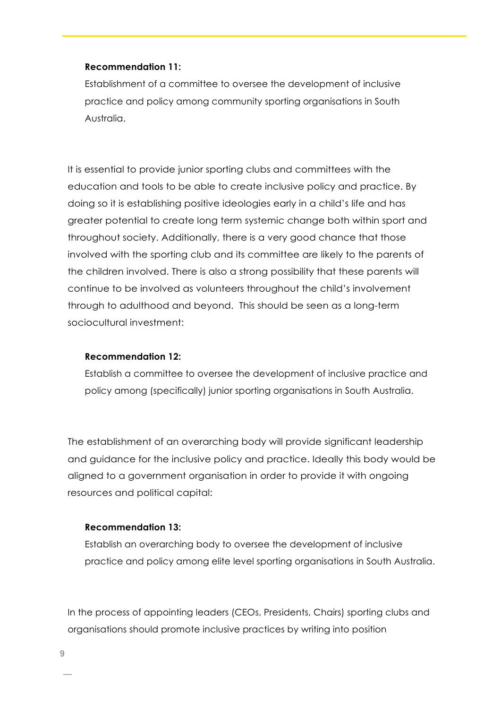#### **Recommendation 11:**

Establishment of a committee to oversee the development of inclusive practice and policy among community sporting organisations in South Australia.

It is essential to provide junior sporting clubs and committees with the education and tools to be able to create inclusive policy and practice. By doing so it is establishing positive ideologies early in a child's life and has greater potential to create long term systemic change both within sport and throughout society. Additionally, there is a very good chance that those involved with the sporting club and its committee are likely to the parents of the children involved. There is also a strong possibility that these parents will continue to be involved as volunteers throughout the child's involvement through to adulthood and beyond. This should be seen as a long-term sociocultural investment:

#### **Recommendation 12:**

Establish a committee to oversee the development of inclusive practice and policy among (specifically) junior sporting organisations in South Australia.

The establishment of an overarching body will provide significant leadership and guidance for the inclusive policy and practice. Ideally this body would be aligned to a government organisation in order to provide it with ongoing resources and political capital:

#### **Recommendation 13:**

Establish an overarching body to oversee the development of inclusive practice and policy among elite level sporting organisations in South Australia.

In the process of appointing leaders (CEOs, Presidents, Chairs) sporting clubs and organisations should promote inclusive practices by writing into position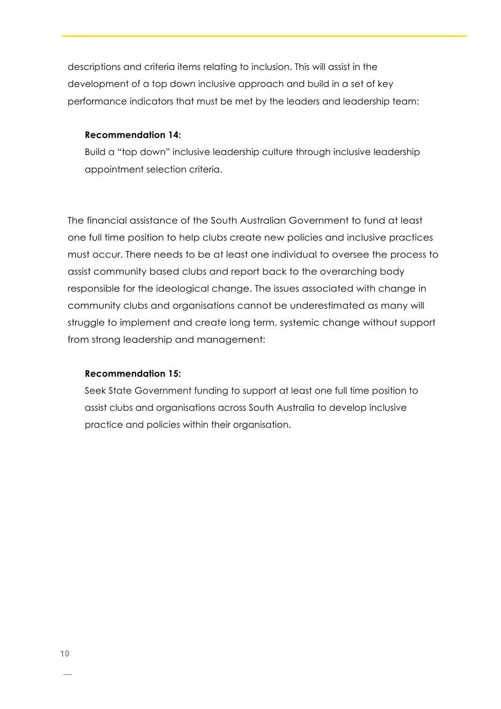descriptions and criteria items relating to inclusion. This will assist in the development of a top down inclusive approach and build in a set of key performance indicators that must be met by the leaders and leadership team:

#### **Recommendation 14:**

Build a "top down" inclusive leadership culture through inclusive leadership appointment selection criteria.

The financial assistance of the South Australian Government to fund at least one full time position to help clubs create new policies and inclusive practices must occur. There needs to be at least one individual to oversee the process to assist community based clubs and report back to the overarching body responsible for the ideological change. The issues associated with change in community clubs and organisations cannot be underestimated as many will struggle to implement and create long term, systemic change without support from strong leadership and management:

#### **Recommendation 15:**

Seek State Government funding to support at least one full time position to assist clubs and organisations across South Australia to develop inclusive practice and policies within their organisation.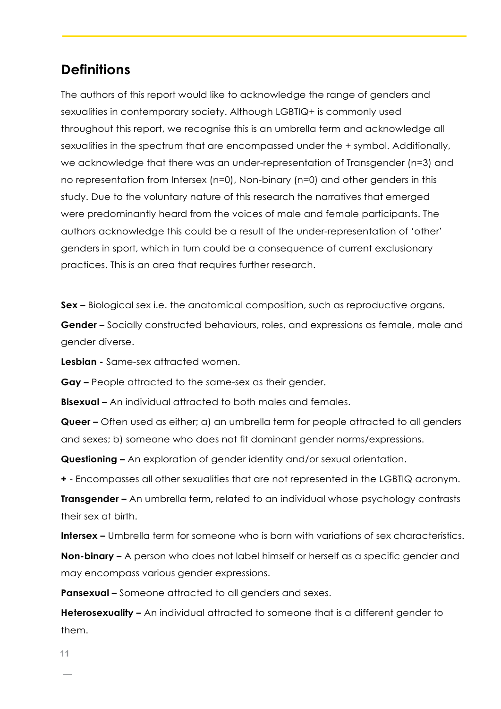## **Definitions**

The authors of this report would like to acknowledge the range of genders and sexualities in contemporary society. Although LGBTIQ+ is commonly used throughout this report, we recognise this is an umbrella term and acknowledge all sexualities in the spectrum that are encompassed under the + symbol. Additionally, we acknowledge that there was an under-representation of Transgender (n=3) and no representation from Intersex (n=0), Non-binary (n=0) and other genders in this study. Due to the voluntary nature of this research the narratives that emerged were predominantly heard from the voices of male and female participants. The authors acknowledge this could be a result of the under-representation of 'other' genders in sport, which in turn could be a consequence of current exclusionary practices. This is an area that requires further research.

**Sex –** Biological sex i.e. the anatomical composition, such as reproductive organs.

**Gender** – Socially constructed behaviours, roles, and expressions as female, male and gender diverse.

**Lesbian -** Same-sex attracted women.

**Gay –** People attracted to the same-sex as their gender.

**Bisexual –** An individual attracted to both males and females.

**Queer –** Often used as either; a) an umbrella term for people attracted to all genders and sexes; b) someone who does not fit dominant gender norms/expressions.

**Questioning –** An exploration of gender identity and/or sexual orientation.

**+** - Encompasses all other sexualities that are not represented in the LGBTIQ acronym.

**Transgender –** An umbrella term**,** related to an individual whose psychology contrasts their sex at birth.

**Intersex –** Umbrella term for someone who is born with variations of sex characteristics.

**Non-binary –** A person who does not label himself or herself as a specific gender and may encompass various gender expressions.

**Pansexual –** Someone attracted to all genders and sexes.

**Heterosexuality –** An individual attracted to someone that is a different gender to them.

**11**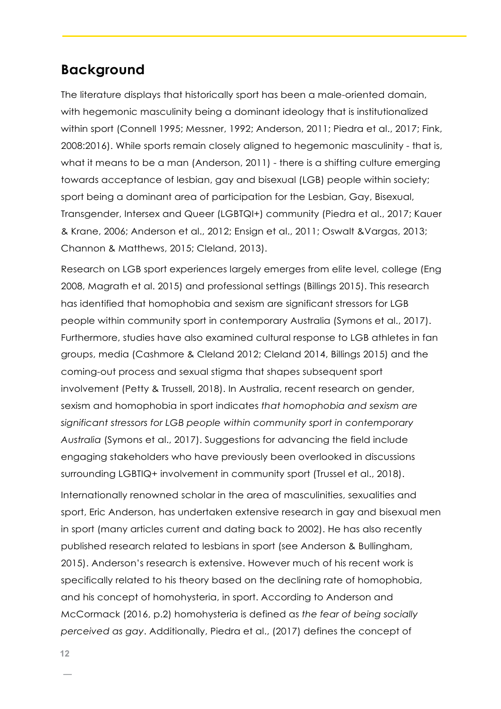### **Background**

The literature displays that historically sport has been a male-oriented domain, with hegemonic masculinity being a dominant ideology that is institutionalized within sport (Connell 1995; Messner, 1992; Anderson, 2011; Piedra et al., 2017; Fink, 2008:2016). While sports remain closely aligned to hegemonic masculinity - that is, what it means to be a man (Anderson, 2011) - there is a shifting culture emerging towards acceptance of lesbian, gay and bisexual (LGB) people within society; sport being a dominant area of participation for the Lesbian, Gay, Bisexual, Transgender, Intersex and Queer (LGBTQI+) community (Piedra et al., 2017; Kauer & Krane, 2006; Anderson et al., 2012; Ensign et al., 2011; Oswalt &Vargas, 2013; Channon & Matthews, 2015; Cleland, 2013).

Research on LGB sport experiences largely emerges from elite level, college (Eng 2008, Magrath et al. 2015) and professional settings (Billings 2015). This research has identified that homophobia and sexism are significant stressors for LGB people within community sport in contemporary Australia (Symons et al., 2017). Furthermore, studies have also examined cultural response to LGB athletes in fan groups, media (Cashmore & Cleland 2012; Cleland 2014, Billings 2015) and the coming-out process and sexual stigma that shapes subsequent sport involvement (Petty & Trussell, 2018). In Australia, recent research on gender, sexism and homophobia in sport indicates *that homophobia and sexism are significant stressors for LGB people within community sport in contemporary Australia* (Symons et al., 2017). Suggestions for advancing the field include engaging stakeholders who have previously been overlooked in discussions surrounding LGBTIQ+ involvement in community sport (Trussel et al., 2018).

Internationally renowned scholar in the area of masculinities, sexualities and sport, Eric Anderson, has undertaken extensive research in gay and bisexual men in sport (many articles current and dating back to 2002). He has also recently published research related to lesbians in sport (see Anderson & Bullingham, 2015). Anderson's research is extensive. However much of his recent work is specifically related to his theory based on the declining rate of homophobia, and his concept of homohysteria, in sport. According to Anderson and McCormack (2016, p.2) homohysteria is defined as *the fear of being socially perceived as gay*. Additionally, Piedra et al., (2017) defines the concept of

**12**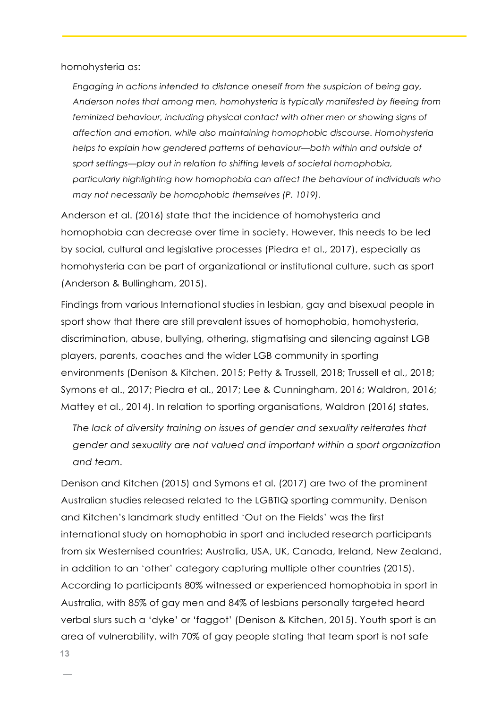homohysteria as:

*Engaging in actions intended to distance oneself from the suspicion of being gay, Anderson notes that among men, homohysteria is typically manifested by fleeing from*  feminized behaviour, including physical contact with other men or showing signs of *affection and emotion, while also maintaining homophobic discourse. Homohysteria helps to explain how gendered patterns of behaviour—both within and outside of sport settings—play out in relation to shifting levels of societal homophobia, particularly highlighting how homophobia can affect the behaviour of individuals who may not necessarily be homophobic themselves (P. 1019).*

Anderson et al. (2016) state that the incidence of homohysteria and homophobia can decrease over time in society. However, this needs to be led by social, cultural and legislative processes (Piedra et al., 2017), especially as homohysteria can be part of organizational or institutional culture, such as sport (Anderson & Bullingham, 2015).

Findings from various International studies in lesbian, gay and bisexual people in sport show that there are still prevalent issues of homophobia, homohysteria, discrimination, abuse, bullying, othering, stigmatising and silencing against LGB players, parents, coaches and the wider LGB community in sporting environments (Denison & Kitchen, 2015; Petty & Trussell, 2018; Trussell et al., 2018; Symons et al., 2017; Piedra et al., 2017; Lee & Cunningham, 2016; Waldron, 2016; Mattey et al., 2014). In relation to sporting organisations, Waldron (2016) states,

*The lack of diversity training on issues of gender and sexuality reiterates that gender and sexuality are not valued and important within a sport organization and team.*

**13** Denison and Kitchen (2015) and Symons et al. (2017) are two of the prominent Australian studies released related to the LGBTIQ sporting community. Denison and Kitchen's landmark study entitled 'Out on the Fields' was the first international study on homophobia in sport and included research participants from six Westernised countries; Australia, USA, UK, Canada, Ireland, New Zealand, in addition to an 'other' category capturing multiple other countries (2015). According to participants 80% witnessed or experienced homophobia in sport in Australia, with 85% of gay men and 84% of lesbians personally targeted heard verbal slurs such a 'dyke' or 'faggot' (Denison & Kitchen, 2015). Youth sport is an area of vulnerability, with 70% of gay people stating that team sport is not safe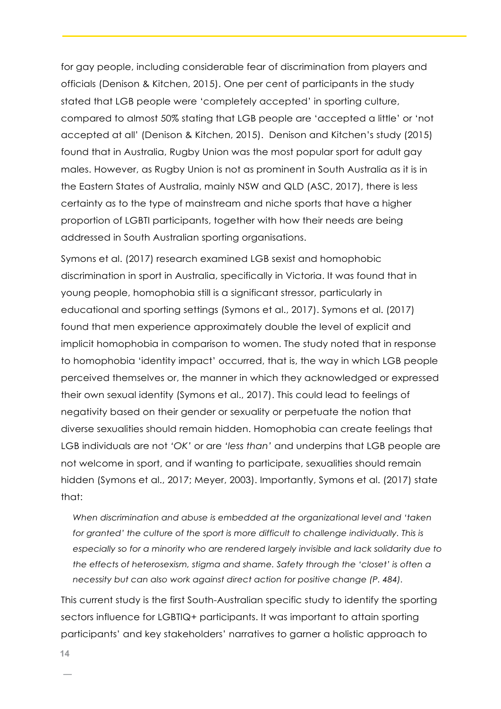for gay people, including considerable fear of discrimination from players and officials (Denison & Kitchen, 2015). One per cent of participants in the study stated that LGB people were 'completely accepted' in sporting culture, compared to almost 50% stating that LGB people are 'accepted a little' or 'not accepted at all' (Denison & Kitchen, 2015). Denison and Kitchen's study (2015) found that in Australia, Rugby Union was the most popular sport for adult gay males. However, as Rugby Union is not as prominent in South Australia as it is in the Eastern States of Australia, mainly NSW and QLD (ASC, 2017), there is less certainty as to the type of mainstream and niche sports that have a higher proportion of LGBTI participants, together with how their needs are being addressed in South Australian sporting organisations.

Symons et al. (2017) research examined LGB sexist and homophobic discrimination in sport in Australia, specifically in Victoria. It was found that in young people, homophobia still is a significant stressor, particularly in educational and sporting settings (Symons et al., 2017). Symons et al. (2017) found that men experience approximately double the level of explicit and implicit homophobia in comparison to women. The study noted that in response to homophobia 'identity impact' occurred, that is, the way in which LGB people perceived themselves or, the manner in which they acknowledged or expressed their own sexual identity (Symons et al., 2017). This could lead to feelings of negativity based on their gender or sexuality or perpetuate the notion that diverse sexualities should remain hidden. Homophobia can create feelings that LGB individuals are not *'OK'* or are *'less than'* and underpins that LGB people are not welcome in sport, and if wanting to participate, sexualities should remain hidden (Symons et al., 2017; Meyer, 2003). Importantly, Symons et al. (2017) state that:

*When discrimination and abuse is embedded at the organizational level and 'taken*  for granted' the culture of the sport is more difficult to challenge individually. This is *especially so for a minority who are rendered largely invisible and lack solidarity due to the effects of heterosexism, stigma and shame. Safety through the 'closet' is often a necessity but can also work against direct action for positive change (P. 484).*

This current study is the first South-Australian specific study to identify the sporting sectors influence for LGBTIQ+ participants. It was important to attain sporting participants' and key stakeholders' narratives to garner a holistic approach to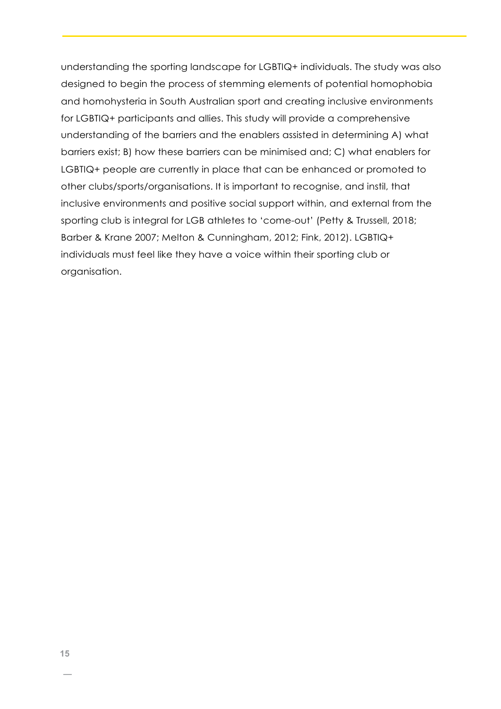understanding the sporting landscape for LGBTIQ+ individuals. The study was also designed to begin the process of stemming elements of potential homophobia and homohysteria in South Australian sport and creating inclusive environments for LGBTIQ+ participants and allies. This study will provide a comprehensive understanding of the barriers and the enablers assisted in determining A) what barriers exist; B) how these barriers can be minimised and; C) what enablers for LGBTIQ+ people are currently in place that can be enhanced or promoted to other clubs/sports/organisations. It is important to recognise, and instil, that inclusive environments and positive social support within, and external from the sporting club is integral for LGB athletes to 'come-out' (Petty & Trussell, 2018; Barber & Krane 2007; Melton & Cunningham, 2012; Fink, 2012). LGBTIQ+ individuals must feel like they have a voice within their sporting club or organisation.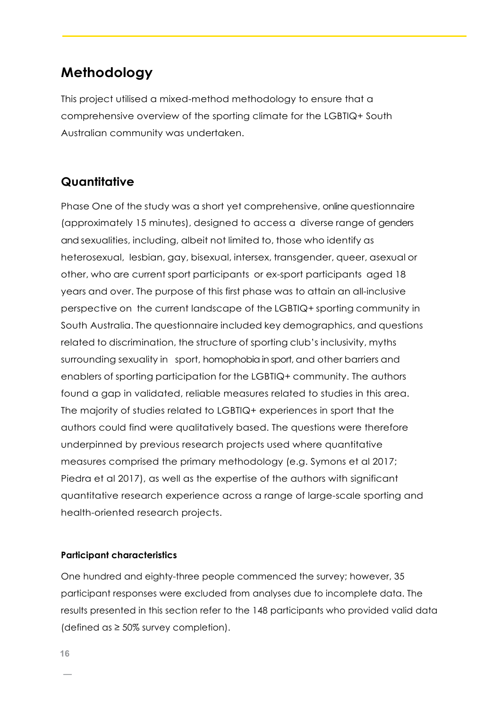## **Methodology**

This project utilised a mixed-method methodology to ensure that a comprehensive overview of the sporting climate for the LGBTIQ+ South Australian community was undertaken.

### **Quantitative**

Phase One of the study was a short yet comprehensive, online questionnaire (approximately 15 minutes), designed to access a diverse range of genders and sexualities, including, albeit not limited to, those who identify as heterosexual, lesbian, gay, bisexual, intersex, transgender, queer, asexual or other, who are current sport participants or ex-sport participants aged 18 years and over. The purpose of this first phase was to attain an all-inclusive perspective on the current landscape of the LGBTIQ+ sporting community in South Australia. The questionnaire included key demographics, and questions related to discrimination, the structure of sporting club's inclusivity, myths surrounding sexuality in sport, homophobia in sport, and other barriers and enablers of sporting participation for the LGBTIQ+ community. The authors found a gap in validated, reliable measures related to studies in this area. The majority of studies related to LGBTIQ+ experiences in sport that the authors could find were qualitatively based. The questions were therefore underpinned by previous research projects used where quantitative measures comprised the primary methodology (e.g. Symons et al 2017; Piedra et al 2017), as well as the expertise of the authors with significant quantitative research experience across a range of large-scale sporting and health-oriented research projects.

#### **Participant characteristics**

One hundred and eighty-three people commenced the survey; however, 35 participant responses were excluded from analyses due to incomplete data. The results presented in this section refer to the 148 participants who provided valid data (defined as  $\geq$  50% survey completion).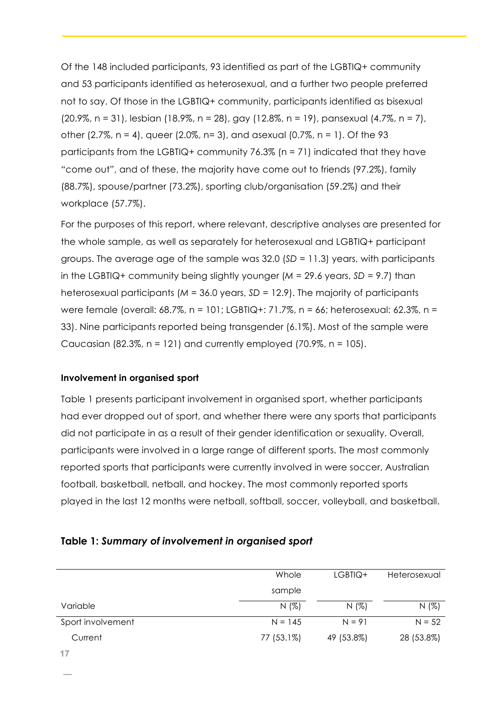Of the 148 included participants, 93 identified as part of the LGBTIQ+ community and 53 participants identified as heterosexual, and a further two people preferred not to say. Of those in the LGBTIQ+ community, participants identified as bisexual (20.9%, n = 31), lesbian (18.9%, n = 28), gay (12.8%, n = 19), pansexual (4.7%, n = 7), other (2.7%,  $n = 4$ ), queer (2.0%,  $n = 3$ ), and asexual (0.7%,  $n = 1$ ). Of the 93 participants from the LGBTIQ+ community 76.3% (n = 71) indicated that they have "come out", and of these, the majority have come out to friends (97.2%), family (88.7%), spouse/partner (73.2%), sporting club/organisation (59.2%) and their workplace (57.7%).

For the purposes of this report, where relevant, descriptive analyses are presented for the whole sample, as well as separately for heterosexual and LGBTIQ+ participant groups. The average age of the sample was 32.0 (*SD* = 11.3) years, with participants in the LGBTIQ+ community being slightly younger (*M* = 29.6 years, *SD* = 9.7) than heterosexual participants (*M* = 36.0 years, *SD* = 12.9). The majority of participants were female (overall: 68.7%, n = 101; LGBTIQ+: 71.7%, n = 66; heterosexual: 62.3%, n = 33). Nine participants reported being transgender (6.1%). Most of the sample were Caucasian (82.3%,  $n = 121$ ) and currently employed (70.9%,  $n = 105$ ).

#### **Involvement in organised sport**

Table 1 presents participant involvement in organised sport, whether participants had ever dropped out of sport, and whether there were any sports that participants did not participate in as a result of their gender identification or sexuality. Overall, participants were involved in a large range of different sports. The most commonly reported sports that participants were currently involved in were soccer, Australian football, basketball, netball, and hockey. The most commonly reported sports played in the last 12 months were netball, softball, soccer, volleyball, and basketball.

#### **Table 1:** *Summary of involvement in organised sport*

|                   | Whole      | $L$ GBTIQ+ | Heterosexual |
|-------------------|------------|------------|--------------|
|                   | sample     |            |              |
| Variable          | N(%)       | N(%)       | N(%)         |
| Sport involvement | $N = 145$  | $N = 91$   | $N = 52$     |
| Current           | 77 (53.1%) | 49 (53.8%) | 28 (53.8%)   |
|                   |            |            |              |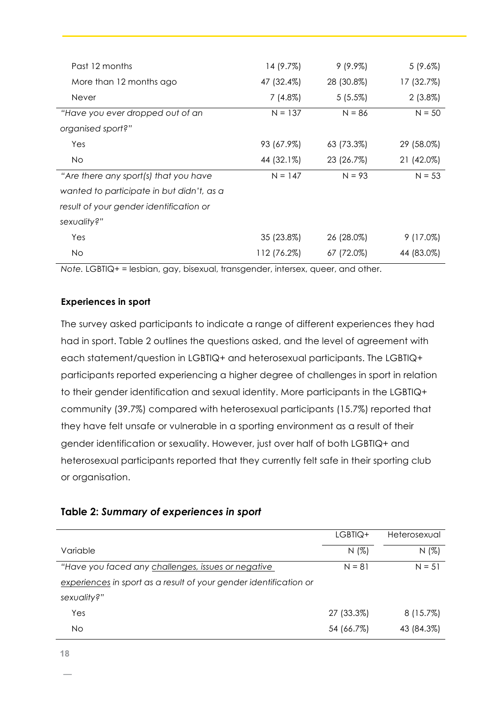| Past 12 months                            | 14 (9.7%)   | $9(9.9\%)$ | $5(9.6\%)$  |
|-------------------------------------------|-------------|------------|-------------|
| More than 12 months ago                   | 47 (32.4%)  | 28 (30.8%) | 17 (32.7%)  |
| <b>Never</b>                              | $7(4.8\%)$  | $5(5.5\%)$ | $2(3.8\%)$  |
| "Have you ever dropped out of an          | $N = 137$   | $N = 86$   | $N = 50$    |
| organised sport?"                         |             |            |             |
| Yes                                       | 93 (67.9%)  | 63 (73.3%) | 29 (58.0%)  |
| <b>No</b>                                 | 44 (32.1%)  | 23 (26.7%) | 21 (42.0%)  |
| "Are there any sport(s) that you have     | $N = 147$   | $N = 93$   | $N = 53$    |
| wanted to participate in but didn't, as a |             |            |             |
| result of your gender identification or   |             |            |             |
| sexuality?"                               |             |            |             |
| Yes                                       | 35 (23.8%)  | 26 (28.0%) | $9(17.0\%)$ |
| No                                        | 112 (76.2%) | 67 (72.0%) | 44 (83.0%)  |
|                                           |             |            |             |

*Note.* LGBTIQ+ = lesbian, gay, bisexual, transgender, intersex, queer, and other.

#### **Experiences in sport**

The survey asked participants to indicate a range of different experiences they had had in sport. Table 2 outlines the questions asked, and the level of agreement with each statement/question in LGBTIQ+ and heterosexual participants. The LGBTIQ+ participants reported experiencing a higher degree of challenges in sport in relation to their gender identification and sexual identity. More participants in the LGBTIQ+ community (39.7%) compared with heterosexual participants (15.7%) reported that they have felt unsafe or vulnerable in a sporting environment as a result of their gender identification or sexuality. However, just over half of both LGBTIQ+ and heterosexual participants reported that they currently felt safe in their sporting club or organisation.

| Table 2: Summary of experiences in sport |  |  |  |  |
|------------------------------------------|--|--|--|--|
|------------------------------------------|--|--|--|--|

|                                                                   | LGBTIQ+    | Heterosexual |
|-------------------------------------------------------------------|------------|--------------|
| Variable                                                          | N(%)       | N(%)         |
| "Have you faced any challenges, issues or negative                | $N = 81$   | $N = 51$     |
| experiences in sport as a result of your gender identification or |            |              |
| sexuality?"                                                       |            |              |
| Yes                                                               | 27 (33.3%) | $8(15.7\%)$  |
| No.                                                               | 54 (66.7%) | 43 (84.3%)   |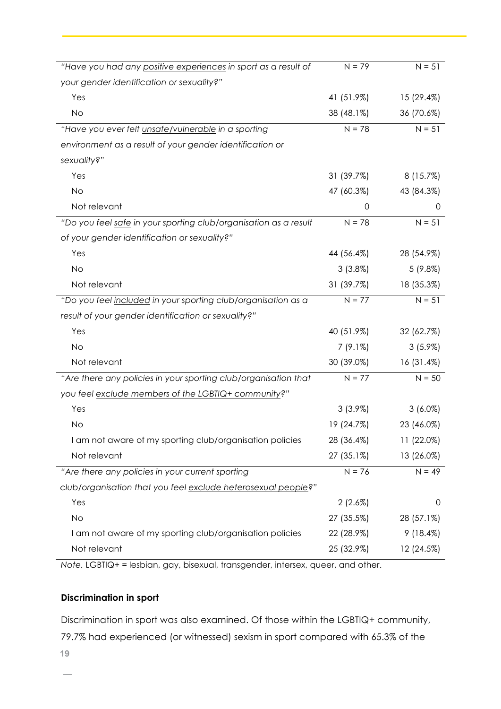| "Have you had any positive experiences in sport as a result of   | $N = 79$   | $N = 51$     |
|------------------------------------------------------------------|------------|--------------|
| your gender identification or sexuality?"                        |            |              |
| Yes                                                              | 41 (51.9%) | 15 (29.4%)   |
| <b>No</b>                                                        | 38 (48.1%) | 36 (70.6%)   |
| "Have you ever felt unsafe/vulnerable in a sporting              | $N = 78$   | $N = 51$     |
| environment as a result of your gender identification or         |            |              |
| sexuality?"                                                      |            |              |
| Yes                                                              | 31(39.7%)  | 8(15.7%)     |
| <b>No</b>                                                        | 47 (60.3%) | 43 (84.3%)   |
| Not relevant                                                     | 0          | 0            |
| "Do you feel safe in your sporting club/organisation as a result | $N = 78$   | $N = 51$     |
| of your gender identification or sexuality?"                     |            |              |
| Yes                                                              | 44 (56.4%) | 28 (54.9%)   |
| No                                                               | $3(3.8\%)$ | $5(9.8\%)$   |
| Not relevant                                                     | 31(39.7%)  | 18 (35.3%)   |
| "Do you feel included in your sporting club/organisation as a    | $N = 77$   | $N = 51$     |
| result of your gender identification or sexuality?"              |            |              |
| Yes                                                              | 40 (51.9%) | 32 (62.7%)   |
| No                                                               | $7(9.1\%)$ | $3(5.9\%)$   |
| Not relevant                                                     | 30 (39.0%) | 16(31.4%)    |
| "Are there any policies in your sporting club/organisation that  | $N = 77$   | $N = 50$     |
| you feel exclude members of the LGBTIQ+ community?"              |            |              |
| Yes                                                              | $3(3.9\%)$ | $3(6.0\%)$   |
| No                                                               | 19 (24.7%) | 23 (46.0%)   |
| I am not aware of my sporting club/organisation policies         | 28 (36.4%) | $11(22.0\%)$ |
| Not relevant                                                     | 27 (35.1%) | 13 (26.0%)   |
| "Are there any policies in your current sporting                 | $N = 76$   | $N = 49$     |
| club/organisation that you feel exclude heterosexual people?"    |            |              |
| Yes                                                              | $2(2.6\%)$ | 0            |
| No                                                               | 27 (35.5%) | 28 (57.1%)   |
| I am not aware of my sporting club/organisation policies         | 22 (28.9%) | 9(18.4%)     |
| Not relevant                                                     | 25 (32.9%) | 12 (24.5%)   |

*Note.* LGBTIQ+ = lesbian, gay, bisexual, transgender, intersex, queer, and other.

#### **Discrimination in sport**

**19** Discrimination in sport was also examined. Of those within the LGBTIQ+ community, 79.7% had experienced (or witnessed) sexism in sport compared with 65.3% of the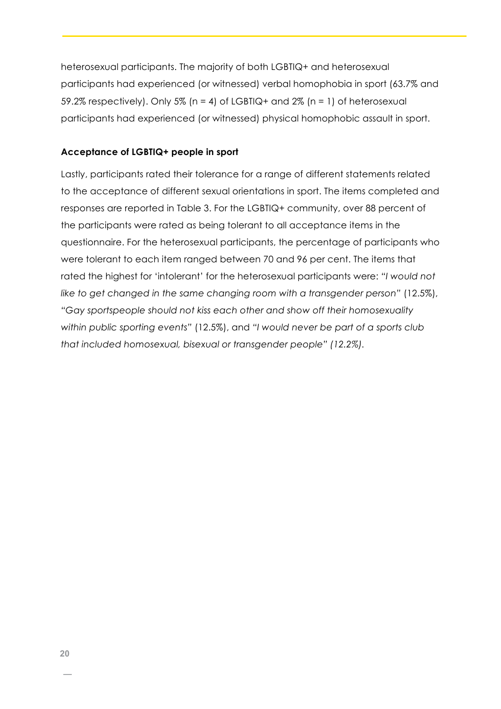heterosexual participants. The majority of both LGBTIQ+ and heterosexual participants had experienced (or witnessed) verbal homophobia in sport (63.7% and 59.2% respectively). Only 5% (n = 4) of LGBTIQ+ and 2% (n = 1) of heterosexual participants had experienced (or witnessed) physical homophobic assault in sport.

#### **Acceptance of LGBTIQ+ people in sport**

Lastly, participants rated their tolerance for a range of different statements related to the acceptance of different sexual orientations in sport. The items completed and responses are reported in Table 3. For the LGBTIQ+ community, over 88 percent of the participants were rated as being tolerant to all acceptance items in the questionnaire. For the heterosexual participants, the percentage of participants who were tolerant to each item ranged between 70 and 96 per cent. The items that rated the highest for 'intolerant' for the heterosexual participants were: *"I would not like to get changed in the same changing room with a transgender person"* (12.5%), *"Gay sportspeople should not kiss each other and show off their homosexuality within public sporting events"* (12.5%), and *"I would never be part of a sports club that included homosexual, bisexual or transgender people" (12.2%).*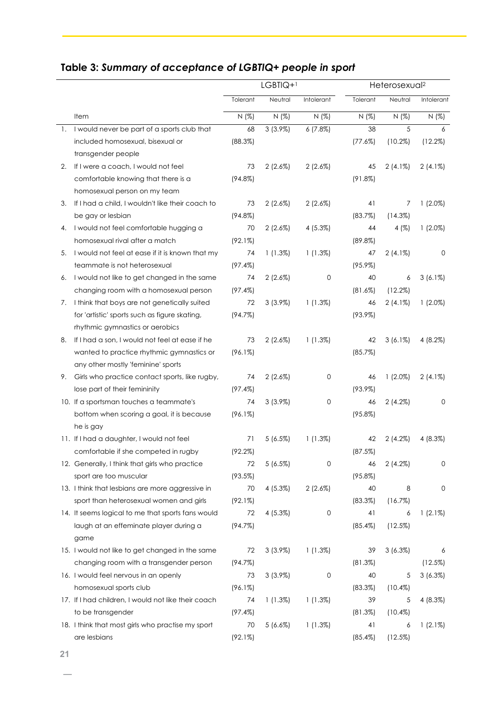| Table 3: Summary of acceptance of LGBTIQ+ people in sport |
|-----------------------------------------------------------|
|-----------------------------------------------------------|

|    |                                                     | LGBTIQ+ <sup>1</sup> |            | Heterosexual <sup>2</sup> |            |            |            |
|----|-----------------------------------------------------|----------------------|------------|---------------------------|------------|------------|------------|
|    |                                                     | Tolerant             | Neutral    | Intolerant                | Tolerant   | Neutral    | Intolerant |
|    | Item                                                | N(%)                 | N(%)       | N(%)                      | N(%)       | N(%)       | N(%)       |
| 1. | I would never be part of a sports club that         | 68                   | $3(3.9\%)$ | $6(7.8\%)$                | 38         | 5          | 6          |
|    | included homosexual, bisexual or                    | (88.3%)              |            |                           | (77.6%)    | (10.2%)    | (12.2%)    |
|    | transgender people                                  |                      |            |                           |            |            |            |
| 2. | If I were a coach, I would not feel                 | 73                   | $2(2.6\%)$ | $2(2.6\%)$                | 45         | $2(4.1\%)$ | $2(4.1\%)$ |
|    | comfortable knowing that there is a                 | $(94.8\%)$           |            |                           | $(91.8\%)$ |            |            |
|    | homosexual person on my team                        |                      |            |                           |            |            |            |
| 3. | If I had a child, I wouldn't like their coach to    | 73                   | $2(2.6\%)$ | $2(2.6\%)$                | 41         | 7          | $1(2.0\%)$ |
|    | be gay or lesbian                                   | $(94.8\%)$           |            |                           | (83.7%)    | (14.3%)    |            |
| 4. | I would not feel comfortable hugging a              | 70                   | $2(2.6\%)$ | 4(5.3%)                   | 44         | 4 $(%)$    | $1(2.0\%)$ |
|    | homosexual rival after a match                      | (92.1%)              |            |                           | $(89.8\%)$ |            |            |
| 5. | I would not feel at ease if it is known that my     | 74                   | $1(1.3\%)$ | $1(1.3\%)$                | 47         | $2(4.1\%)$ | 0          |
|    | teammate is not heterosexual                        | (97.4%)              |            |                           | $(95.9\%)$ |            |            |
| 6. | I would not like to get changed in the same         | 74                   | $2(2.6\%)$ | 0                         | 40         | 6          | $3(6.1\%)$ |
|    | changing room with a homosexual person              | (97.4%)              |            |                           | $(81.6\%)$ | $(12.2\%)$ |            |
| 7. | I think that boys are not genetically suited        | 72                   | $3(3.9\%)$ | $1(1.3\%)$                | 46         | $2(4.1\%)$ | $1(2.0\%)$ |
|    | for 'artistic' sports such as figure skating,       | (94.7%)              |            |                           | $(93.9\%)$ |            |            |
|    | rhythmic gymnastics or aerobics                     |                      |            |                           |            |            |            |
| 8. | If I had a son, I would not feel at ease if he      | 73                   | $2(2.6\%)$ | $1(1.3\%)$                | 42         | $3(6.1\%)$ | $4(8.2\%)$ |
|    | wanted to practice rhythmic gymnastics or           | $(96.1\%)$           |            |                           | (85.7%)    |            |            |
|    | any other mostly 'feminine' sports                  |                      |            |                           |            |            |            |
| 9. | Girls who practice contact sports, like rugby,      | 74                   | $2(2.6\%)$ | 0                         | 46         | $1(2.0\%)$ | $2(4.1\%)$ |
|    | lose part of their femininity                       | (97.4%)              |            |                           | $(93.9\%)$ |            |            |
|    | 10. If a sportsman touches a teammate's             | 74                   | 3(3.9%)    | 0                         | 46         | $2(4.2\%)$ | 0          |
|    | bottom when scoring a goal, it is because           | (96.1%)              |            |                           | $(95.8\%)$ |            |            |
|    | he is gay                                           |                      |            |                           |            |            |            |
|    | 11. If I had a daughter, I would not feel           | 71                   | 5(6.5%)    | $1(1.3\%)$                | 42         | $2(4.2\%)$ | 4 (8.3%)   |
|    | comfortable if she competed in rugby                | $(92.2\%)$           |            |                           | (87.5%)    |            |            |
|    | 12. Generally, I think that girls who practice      | 72                   | 5(6.5%)    | 0                         | 46         | $2(4.2\%)$ | 0          |
|    | sport are too muscular                              | (93.5%)              |            |                           | $(95.8\%)$ |            |            |
|    | 13. I think that lesbians are more aggressive in    | 70                   | 4(5.3%)    | $2(2.6\%)$                | 40         | 8          | 0          |
|    | sport than heterosexual women and girls             | (92.1%)              |            |                           | (83.3%)    | (16.7%)    |            |
|    | 14. It seems logical to me that sports fans would   | 72                   | 4 (5.3%)   | 0                         | 41         | 6          | $1(2.1\%)$ |
|    | laugh at an effeminate player during a              | (94.7%)              |            |                           | $(85.4\%)$ | (12.5%)    |            |
|    | game                                                |                      |            |                           |            |            |            |
|    | 15. I would not like to get changed in the same     | 72                   | 3(3.9%)    | $1(1.3\%)$                | 39         | 3(6.3%)    | 6          |
|    | changing room with a transgender person             | (94.7%)              |            |                           | (81.3%)    |            | (12.5%)    |
|    | 16. I would feel nervous in an openly               | 73                   | $3(3.9\%)$ | 0                         | 40         | 5          | 3(6.3%)    |
|    | homosexual sports club                              | (96.1%)              |            |                           | (83.3%)    | $(10.4\%)$ |            |
|    | 17. If I had children, I would not like their coach | 74                   | 1(1.3%)    | 1(1.3%)                   | 39         | 5          | 4 (8.3%)   |
|    | to be transgender                                   | (97.4%)              |            |                           | (81.3%)    | $(10.4\%)$ |            |
|    | 18. I think that most girls who practise my sport   | 70                   | 5(6.6%)    | 1(1.3%)                   | 41         | 6          | $1(2.1\%)$ |
|    | are lesbians                                        | (92.1%)              |            |                           | (85.4%)    | (12.5%)    |            |

 $\overline{\phantom{m}}$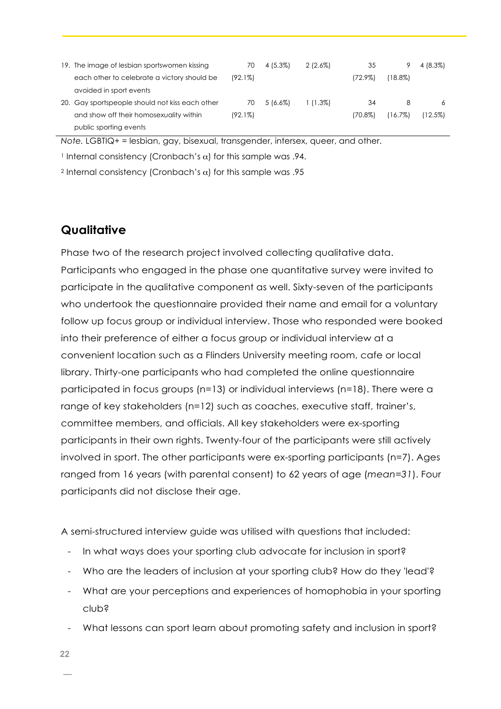| 19. The image of lesbian sportswomen kissing    | 70         | 4 (5.3%)   | $2(2.6\%)$ | 35         |            | 4 (8.3%) |
|-------------------------------------------------|------------|------------|------------|------------|------------|----------|
| each other to celebrate a victory should be     | $(92.1\%)$ |            |            | $(72.9\%)$ | $(18.8\%)$ |          |
| avoided in sport events                         |            |            |            |            |            |          |
| 20. Gay sportspeople should not kiss each other | 70         | $5(6.6\%)$ | $(1.3\%)$  | 34         |            | 6        |
| and show off their homosexuality within         | $(92.1\%)$ |            |            | (70.8%)    | (16.7%)    | (12.5%)  |
| public sporting events                          |            |            |            |            |            |          |

*Note.* LGBTIQ+ = lesbian, gay, bisexual, transgender, intersex, queer, and other.

<sup>1</sup> Internal consistency (Cronbach's  $\alpha$ ) for this sample was .94.

<sup>2</sup> Internal consistency (Cronbach's α) for this sample was .95

#### **Qualitative**

Phase two of the research project involved collecting qualitative data. Participants who engaged in the phase one quantitative survey were invited to participate in the qualitative component as well. Sixty-seven of the participants who undertook the questionnaire provided their name and email for a voluntary follow up focus group or individual interview. Those who responded were booked into their preference of either a focus group or individual interview at a convenient location such as a Flinders University meeting room, cafe or local library. Thirty-one participants who had completed the online questionnaire participated in focus groups (n=13) or individual interviews (n=18). There were a range of key stakeholders (n=12) such as coaches, executive staff, trainer's, committee members, and officials. All key stakeholders were ex-sporting participants in their own rights. Twenty-four of the participants were still actively involved in sport. The other participants were ex-sporting participants (n=7). Ages ranged from 16 years (with parental consent) to 62 years of age (*mean=31*). Four participants did not disclose their age.

A semi-structured interview guide was utilised with questions that included:

- In what ways does your sporting club advocate for inclusion in sport?
- Who are the leaders of inclusion at your sporting club? How do they 'lead'?
- What are your perceptions and experiences of homophobia in your sporting club?
- What lessons can sport learn about promoting safety and inclusion in sport?
- **22**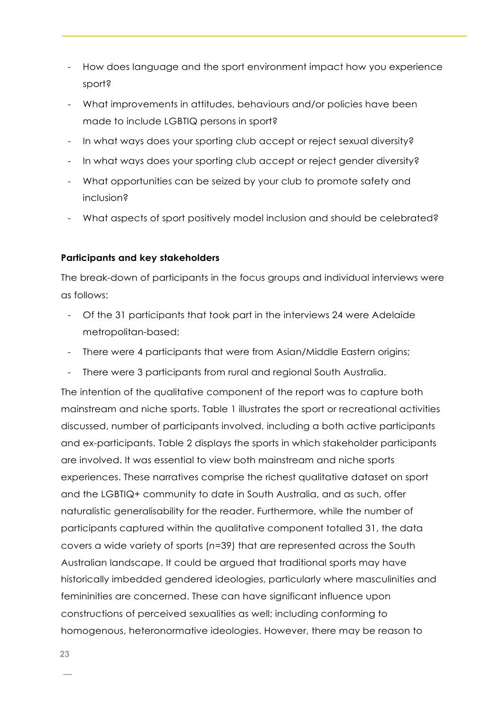- How does language and the sport environment impact how you experience sport?
- What improvements in attitudes, behaviours and/or policies have been made to include LGBTIQ persons in sport?
- In what ways does your sporting club accept or reject sexual diversity?
- In what ways does your sporting club accept or reject gender diversity?
- What opportunities can be seized by your club to promote safety and inclusion?
- What aspects of sport positively model inclusion and should be celebrated?

#### **Participants and key stakeholders**

The break-down of participants in the focus groups and individual interviews were as follows:

- Of the 31 participants that took part in the interviews 24 were Adelaide metropolitan-based;
- There were 4 participants that were from Asian/Middle Eastern origins;
- There were 3 participants from rural and regional South Australia.

The intention of the qualitative component of the report was to capture both mainstream and niche sports. Table 1 illustrates the sport or recreational activities discussed, number of participants involved, including a both active participants and ex-participants. Table 2 displays the sports in which stakeholder participants are involved. It was essential to view both mainstream and niche sports experiences. These narratives comprise the richest qualitative dataset on sport and the LGBTIQ+ community to date in South Australia, and as such, offer naturalistic generalisability for the reader. Furthermore, while the number of participants captured within the qualitative component totalled 31, the data covers a wide variety of sports (*n=*39) that are represented across the South Australian landscape. It could be argued that traditional sports may have historically imbedded gendered ideologies, particularly where masculinities and femininities are concerned. These can have significant influence upon constructions of perceived sexualities as well; including conforming to homogenous, heteronormative ideologies. However, there may be reason to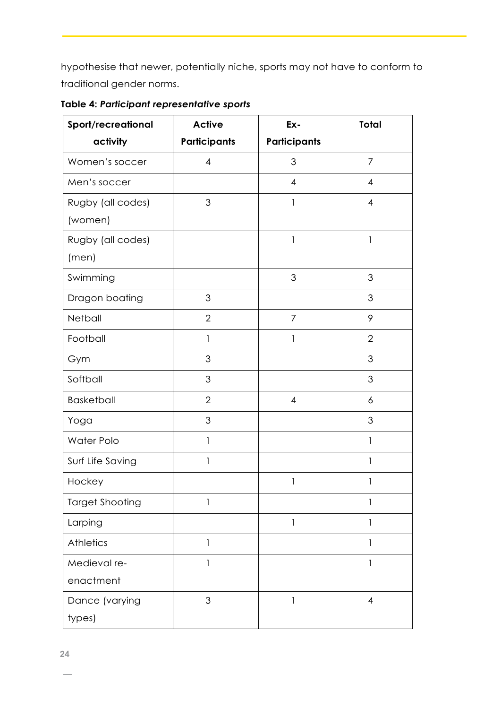hypothesise that newer, potentially niche, sports may not have to conform to traditional gender norms.

| Sport/recreational     | <b>Active</b>  | Ex-            | <b>Total</b>   |
|------------------------|----------------|----------------|----------------|
| activity               | Participants   | Participants   |                |
| Women's soccer         | $\overline{4}$ | $\mathfrak{S}$ | $\overline{7}$ |
| Men's soccer           |                | $\overline{4}$ | $\overline{4}$ |
| Rugby (all codes)      | 3              | 1              | $\overline{4}$ |
| (women)                |                |                |                |
| Rugby (all codes)      |                | 1              | 1              |
| (men)                  |                |                |                |
| Swimming               |                | $\mathfrak{S}$ | 3              |
| Dragon boating         | 3              |                | 3              |
| Netball                | $\overline{2}$ | $\overline{7}$ | 9              |
| Football               | 1              | 1              | $\overline{2}$ |
| Gym                    | 3              |                | 3              |
| Softball               | 3              |                | 3              |
| <b>Basketball</b>      | $\overline{2}$ | $\overline{4}$ | 6              |
| Yoga                   | 3              |                | 3              |
| Water Polo             | 1              |                | 1              |
| Surf Life Saving       | 1              |                | 1              |
| Hockey                 |                | 1              | 1              |
| <b>Target Shooting</b> | 1              |                | 1              |
| Larping                |                | 1              | 1              |
| Athletics              | 1              |                | 1              |
| Medieval re-           | 1              |                | 1              |
| enactment              |                |                |                |
| Dance (varying         | 3              | 1              | $\overline{4}$ |
| types)                 |                |                |                |

**Table 4:** *Participant representative sports*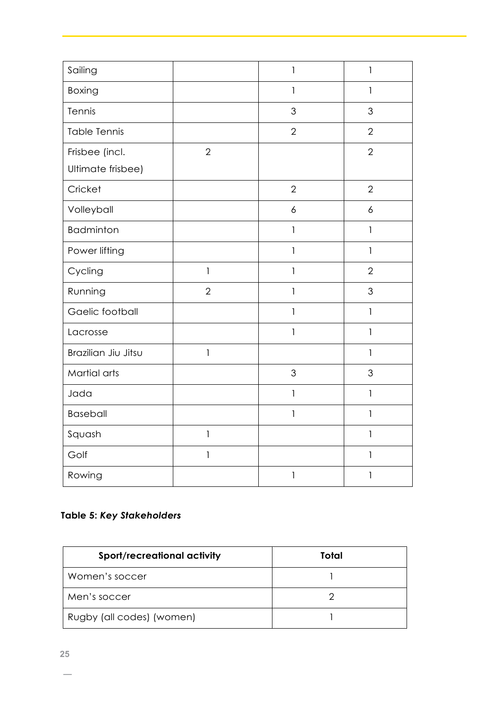| Sailing             |                | 1                | 1                                     |
|---------------------|----------------|------------------|---------------------------------------|
| <b>Boxing</b>       |                | 1                | 1                                     |
| Tennis              |                | 3                | 3                                     |
| <b>Table Tennis</b> |                | $\overline{2}$   | $\overline{2}$                        |
| Frisbee (incl.      | $\overline{2}$ |                  | $\overline{2}$                        |
| Ultimate frisbee)   |                |                  |                                       |
| Cricket             |                | $\overline{2}$   | $\overline{2}$                        |
| Volleyball          |                | $\boldsymbol{6}$ | $\boldsymbol{6}$                      |
| <b>Badminton</b>    |                | $\mathbf{1}$     | $\mathbf{1}$                          |
| Power lifting       |                | 1                | $\mathbf{1}$                          |
| Cycling             | $\mathbf{1}$   | $\mathbf{1}$     | $\overline{2}$                        |
| Running             | $\overline{2}$ | 1                | 3                                     |
| Gaelic football     |                | 1                | $\mathbf{1}$                          |
| Lacrosse            |                | $\mathbf{1}$     | $\begin{array}{c} \hline \end{array}$ |
| Brazilian Jiu Jitsu | 1              |                  | 1                                     |
| Martial arts        |                | 3                | 3                                     |
| Jada                |                | 1                | $\mathbf{1}$                          |
| <b>Baseball</b>     |                | $\mathbf{1}$     | $\mathbf{1}$                          |
| Squash              | $\mathsf{l}$   |                  | $\mathbf{I}$                          |
| Golf                | 1              |                  | 1                                     |
| Rowing              |                | 1                | 1                                     |

### **Table 5:** *Key Stakeholders*

| <b>Sport/recreational activity</b> | Total |
|------------------------------------|-------|
| Women's soccer                     |       |
| Men's soccer                       |       |
| Rugby (all codes) (women)          |       |

 $\overline{\phantom{0}}$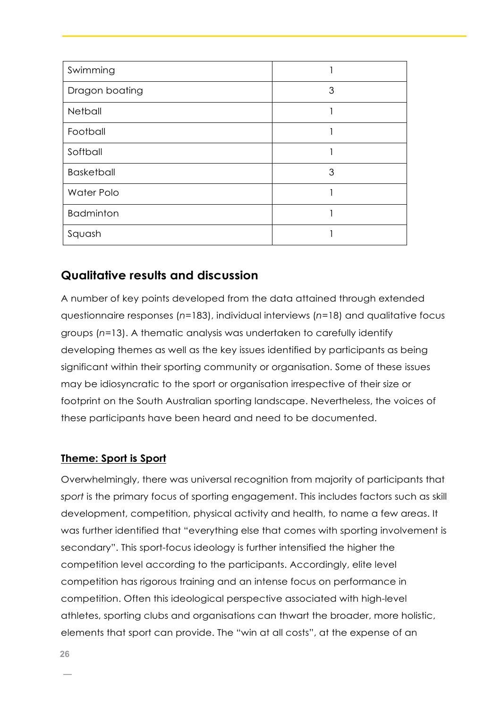| Swimming          |   |
|-------------------|---|
| Dragon boating    | 3 |
| Netball           |   |
| Football          |   |
| Softball          |   |
| <b>Basketball</b> | 3 |
| Water Polo        |   |
| <b>Badminton</b>  |   |
| Squash            |   |

### **Qualitative results and discussion**

A number of key points developed from the data attained through extended questionnaire responses (*n*=183), individual interviews (*n*=18) and qualitative focus groups (*n*=13). A thematic analysis was undertaken to carefully identify developing themes as well as the key issues identified by participants as being significant within their sporting community or organisation. Some of these issues may be idiosyncratic to the sport or organisation irrespective of their size or footprint on the South Australian sporting landscape. Nevertheless, the voices of these participants have been heard and need to be documented.

#### **Theme: Sport is Sport**

Overwhelmingly, there was universal recognition from majority of participants that sport is the primary focus of sporting engagement. This includes factors such as skill development, competition, physical activity and health, to name a few areas. It was further identified that "everything else that comes with sporting involvement is secondary". This sport-focus ideology is further intensified the higher the competition level according to the participants. Accordingly, elite level competition has rigorous training and an intense focus on performance in competition. Often this ideological perspective associated with high-level athletes, sporting clubs and organisations can thwart the broader, more holistic, elements that sport can provide. The "win at all costs", at the expense of an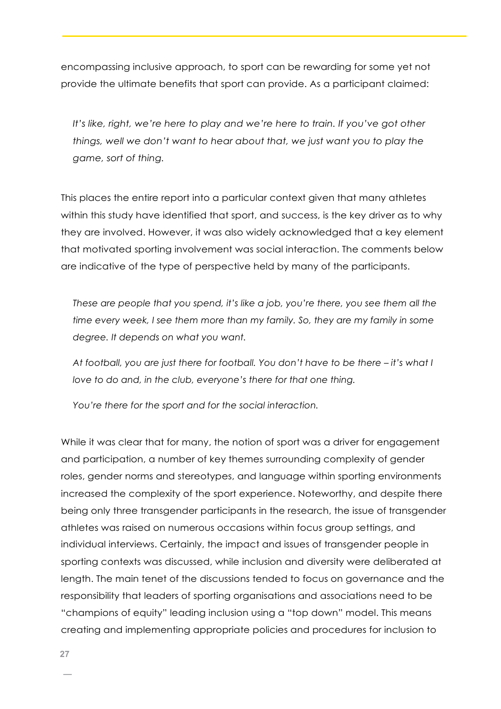encompassing inclusive approach, to sport can be rewarding for some yet not provide the ultimate benefits that sport can provide. As a participant claimed:

It's like, right, we're here to play and we're here to train. If you've got other *things, well we don't want to hear about that, we just want you to play the game, sort of thing.* 

This places the entire report into a particular context given that many athletes within this study have identified that sport, and success, is the key driver as to why they are involved. However, it was also widely acknowledged that a key element that motivated sporting involvement was social interaction. The comments below are indicative of the type of perspective held by many of the participants.

*These are people that you spend, it's like a job, you're there, you see them all the time every week, I see them more than my family. So, they are my family in some degree. It depends on what you want.*

*At football, you are just there for football. You don't have to be there – it's what I love to do and, in the club, everyone's there for that one thing.*

*You're there for the sport and for the social interaction.*

While it was clear that for many, the notion of sport was a driver for engagement and participation, a number of key themes surrounding complexity of gender roles, gender norms and stereotypes, and language within sporting environments increased the complexity of the sport experience. Noteworthy, and despite there being only three transgender participants in the research, the issue of transgender athletes was raised on numerous occasions within focus group settings, and individual interviews. Certainly, the impact and issues of transgender people in sporting contexts was discussed, while inclusion and diversity were deliberated at length. The main tenet of the discussions tended to focus on governance and the responsibility that leaders of sporting organisations and associations need to be "champions of equity" leading inclusion using a "top down" model. This means creating and implementing appropriate policies and procedures for inclusion to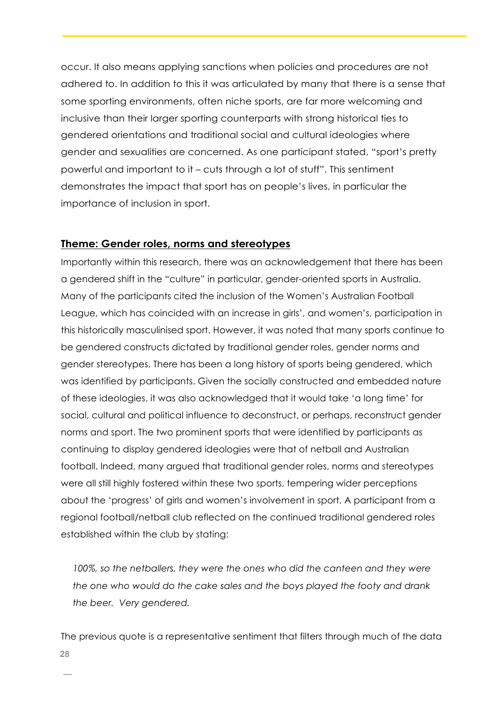occur. It also means applying sanctions when policies and procedures are not adhered to. In addition to this it was articulated by many that there is a sense that some sporting environments, often niche sports, are far more welcoming and inclusive than their larger sporting counterparts with strong historical ties to gendered orientations and traditional social and cultural ideologies where gender and sexualities are concerned. As one participant stated, "sport's pretty powerful and important to it – cuts through a lot of stuff". This sentiment demonstrates the impact that sport has on people's lives, in particular the importance of inclusion in sport.

#### **Theme: Gender roles, norms and stereotypes**

Importantly within this research, there was an acknowledgement that there has been a gendered shift in the "culture" in particular, gender-oriented sports in Australia. Many of the participants cited the inclusion of the Women's Australian Football League, which has coincided with an increase in girls', and women's, participation in this historically masculinised sport. However, it was noted that many sports continue to be gendered constructs dictated by traditional gender roles, gender norms and gender stereotypes. There has been a long history of sports being gendered, which was identified by participants. Given the socially constructed and embedded nature of these ideologies, it was also acknowledged that it would take 'a long time' for social, cultural and political influence to deconstruct, or perhaps, reconstruct gender norms and sport. The two prominent sports that were identified by participants as continuing to display gendered ideologies were that of netball and Australian football. Indeed, many argued that traditional gender roles, norms and stereotypes were all still highly fostered within these two sports, tempering wider perceptions about the 'progress' of girls and women's involvement in sport. A participant from a regional football/netball club reflected on the continued traditional gendered roles established within the club by stating:

*100%, so the netballers, they were the ones who did the canteen and they were the one who would do the cake sales and the boys played the footy and drank the beer. Very gendered.*

**28** The previous quote is a representative sentiment that filters through much of the data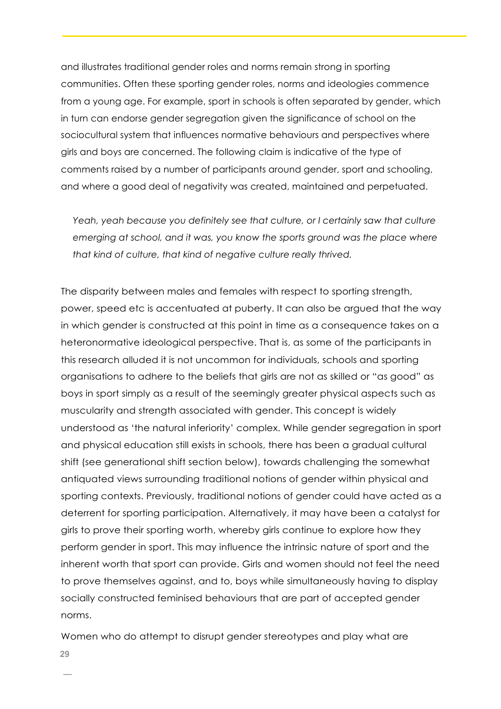and illustrates traditional gender roles and norms remain strong in sporting communities. Often these sporting gender roles, norms and ideologies commence from a young age. For example, sport in schools is often separated by gender, which in turn can endorse gender segregation given the significance of school on the sociocultural system that influences normative behaviours and perspectives where girls and boys are concerned. The following claim is indicative of the type of comments raised by a number of participants around gender, sport and schooling, and where a good deal of negativity was created, maintained and perpetuated.

*Yeah, yeah because you definitely see that culture, or I certainly saw that culture*  emerging at school, and it was, you know the sports ground was the place where *that kind of culture, that kind of negative culture really thrived.*

The disparity between males and females with respect to sporting strength, power, speed etc is accentuated at puberty. It can also be argued that the way in which gender is constructed at this point in time as a consequence takes on a heteronormative ideological perspective. That is, as some of the participants in this research alluded it is not uncommon for individuals, schools and sporting organisations to adhere to the beliefs that girls are not as skilled or "as good" as boys in sport simply as a result of the seemingly greater physical aspects such as muscularity and strength associated with gender. This concept is widely understood as 'the natural inferiority' complex. While gender segregation in sport and physical education still exists in schools, there has been a gradual cultural shift (see generational shift section below), towards challenging the somewhat antiquated views surrounding traditional notions of gender within physical and sporting contexts. Previously, traditional notions of gender could have acted as a deterrent for sporting participation. Alternatively, it may have been a catalyst for girls to prove their sporting worth, whereby girls continue to explore how they perform gender in sport. This may influence the intrinsic nature of sport and the inherent worth that sport can provide. Girls and women should not feel the need to prove themselves against, and to, boys while simultaneously having to display socially constructed feminised behaviours that are part of accepted gender norms.

Women who do attempt to disrupt gender stereotypes and play what are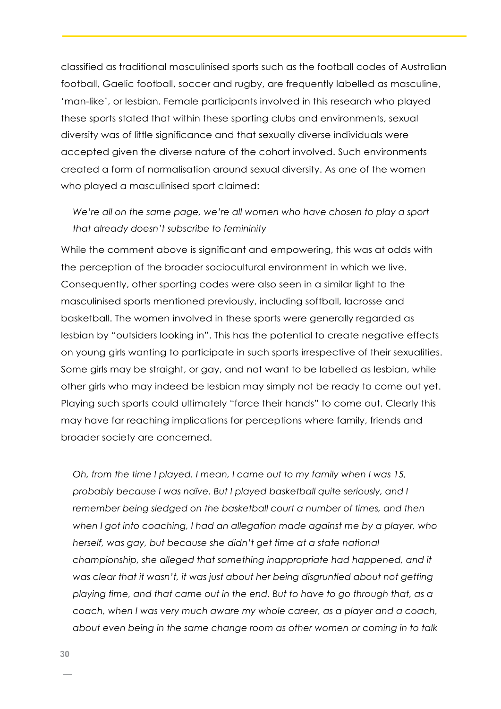classified as traditional masculinised sports such as the football codes of Australian football, Gaelic football, soccer and rugby, are frequently labelled as masculine, 'man-like', or lesbian. Female participants involved in this research who played these sports stated that within these sporting clubs and environments, sexual diversity was of little significance and that sexually diverse individuals were accepted given the diverse nature of the cohort involved. Such environments created a form of normalisation around sexual diversity. As one of the women who played a masculinised sport claimed:

*We're all on the same page, we're all women who have chosen to play a sport that already doesn't subscribe to femininity*

While the comment above is significant and empowering, this was at odds with the perception of the broader sociocultural environment in which we live. Consequently, other sporting codes were also seen in a similar light to the masculinised sports mentioned previously, including softball, lacrosse and basketball. The women involved in these sports were generally regarded as lesbian by "outsiders looking in". This has the potential to create negative effects on young girls wanting to participate in such sports irrespective of their sexualities. Some girls may be straight, or gay, and not want to be labelled as lesbian, while other girls who may indeed be lesbian may simply not be ready to come out yet. Playing such sports could ultimately "force their hands" to come out. Clearly this may have far reaching implications for perceptions where family, friends and broader society are concerned.

*Oh, from the time I played. I mean, I came out to my family when I was 15, probably because I was naïve. But I played basketball quite seriously, and I remember being sledged on the basketball court a number of times, and then when I got into coaching, I had an allegation made against me by a player, who herself, was gay, but because she didn't get time at a state national championship, she alleged that something inappropriate had happened, and it was clear that it wasn't, it was just about her being disgruntled about not getting playing time, and that came out in the end. But to have to go through that, as a coach, when I was very much aware my whole career, as a player and a coach, about even being in the same change room as other women or coming in to talk*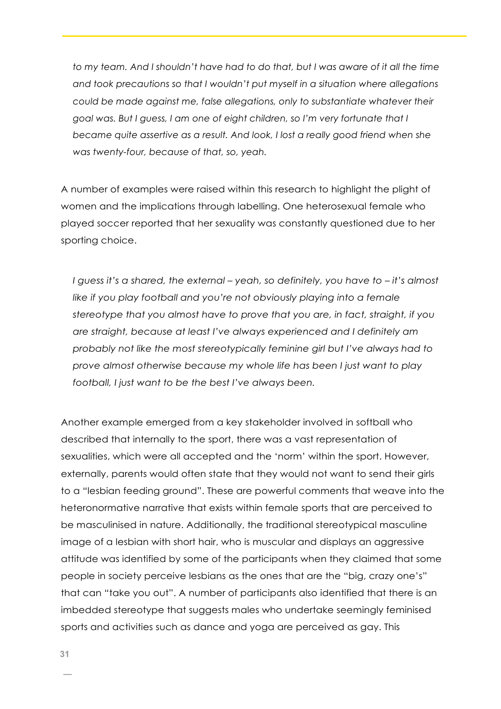to my team. And I shouldn't have had to do that, but I was aware of it all the time *and took precautions so that I wouldn't put myself in a situation where allegations could be made against me, false allegations, only to substantiate whatever their goal was. But I guess, I am one of eight children, so I'm very fortunate that I became quite assertive as a result. And look, I lost a really good friend when she was twenty-four, because of that, so, yeah.*

A number of examples were raised within this research to highlight the plight of women and the implications through labelling. One heterosexual female who played soccer reported that her sexuality was constantly questioned due to her sporting choice.

*I guess it's a shared, the external – yeah, so definitely, you have to – it's almost like if you play football and you're not obviously playing into a female stereotype that you almost have to prove that you are, in fact, straight, if you are straight, because at least I've always experienced and I definitely am probably not like the most stereotypically feminine girl but I've always had to prove almost otherwise because my whole life has been I just want to play football, I just want to be the best I've always been.*

Another example emerged from a key stakeholder involved in softball who described that internally to the sport, there was a vast representation of sexualities, which were all accepted and the 'norm' within the sport. However, externally, parents would often state that they would not want to send their girls to a "lesbian feeding ground". These are powerful comments that weave into the heteronormative narrative that exists within female sports that are perceived to be masculinised in nature. Additionally, the traditional stereotypical masculine image of a lesbian with short hair, who is muscular and displays an aggressive attitude was identified by some of the participants when they claimed that some people in society perceive lesbians as the ones that are the "big, crazy one's" that can "take you out". A number of participants also identified that there is an imbedded stereotype that suggests males who undertake seemingly feminised sports and activities such as dance and yoga are perceived as gay. This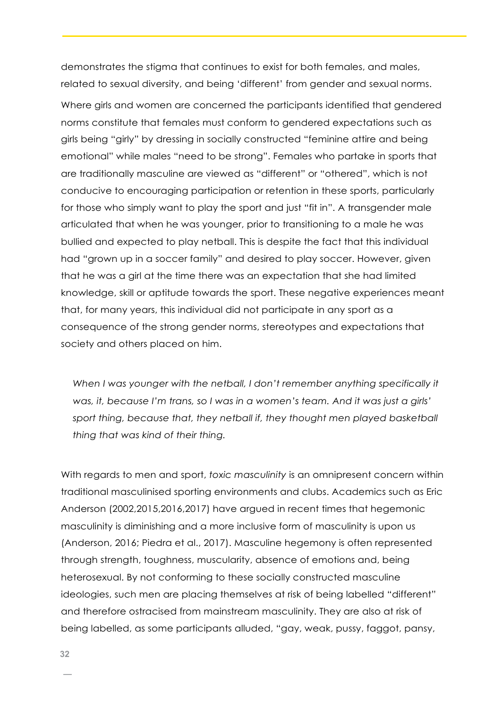demonstrates the stigma that continues to exist for both females, and males, related to sexual diversity, and being 'different' from gender and sexual norms.

Where girls and women are concerned the participants identified that gendered norms constitute that females must conform to gendered expectations such as girls being "girly" by dressing in socially constructed "feminine attire and being emotional" while males "need to be strong". Females who partake in sports that are traditionally masculine are viewed as "different" or "othered", which is not conducive to encouraging participation or retention in these sports, particularly for those who simply want to play the sport and just "fit in". A transgender male articulated that when he was younger, prior to transitioning to a male he was bullied and expected to play netball. This is despite the fact that this individual had "grown up in a soccer family" and desired to play soccer. However, given that he was a girl at the time there was an expectation that she had limited knowledge, skill or aptitude towards the sport. These negative experiences meant that, for many years, this individual did not participate in any sport as a consequence of the strong gender norms, stereotypes and expectations that society and others placed on him.

When I was younger with the netball, I don't remember anything specifically it *was, it, because I'm trans, so I was in a women's team. And it was just a girls'* sport thing, because that, they netball if, they thought men played basketball *thing that was kind of their thing.*

With regards to men and sport, *toxic masculinity* is an omnipresent concern within traditional masculinised sporting environments and clubs. Academics such as Eric Anderson (2002,2015,2016,2017) have argued in recent times that hegemonic masculinity is diminishing and a more inclusive form of masculinity is upon us (Anderson, 2016; Piedra et al., 2017). Masculine hegemony is often represented through strength, toughness, muscularity, absence of emotions and, being heterosexual. By not conforming to these socially constructed masculine ideologies, such men are placing themselves at risk of being labelled "different" and therefore ostracised from mainstream masculinity. They are also at risk of being labelled, as some participants alluded, "gay, weak, pussy, faggot, pansy,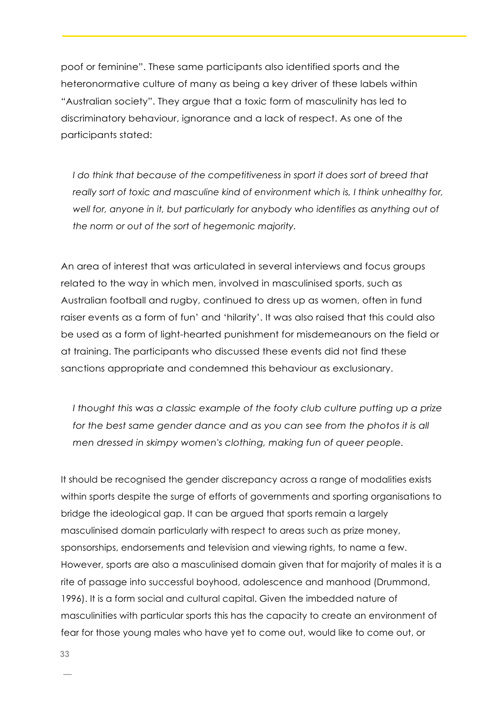poof or feminine". These same participants also identified sports and the heteronormative culture of many as being a key driver of these labels within "Australian society". They argue that a toxic form of masculinity has led to discriminatory behaviour, ignorance and a lack of respect. As one of the participants stated:

*I* do think that because of the competitiveness in sport it does sort of breed that *really sort of toxic and masculine kind of environment which is, I think unhealthy for, well for, anyone in it, but particularly for anybody who identifies as anything out of the norm or out of the sort of hegemonic majority.*

An area of interest that was articulated in several interviews and focus groups related to the way in which men, involved in masculinised sports, such as Australian football and rugby, continued to dress up as women, often in fund raiser events as a form of fun' and 'hilarity'. It was also raised that this could also be used as a form of light-hearted punishment for misdemeanours on the field or at training. The participants who discussed these events did not find these sanctions appropriate and condemned this behaviour as exclusionary.

*I thought this was a classic example of the footy club culture putting up a prize for the best same gender dance and as you can see from the photos it is all men dressed in skimpy women's clothing, making fun of queer people.*

It should be recognised the gender discrepancy across a range of modalities exists within sports despite the surge of efforts of governments and sporting organisations to bridge the ideological gap. It can be argued that sports remain a largely masculinised domain particularly with respect to areas such as prize money, sponsorships, endorsements and television and viewing rights, to name a few. However, sports are also a masculinised domain given that for majority of males it is a rite of passage into successful boyhood, adolescence and manhood (Drummond, 1996). It is a form social and cultural capital. Given the imbedded nature of masculinities with particular sports this has the capacity to create an environment of fear for those young males who have yet to come out, would like to come out, or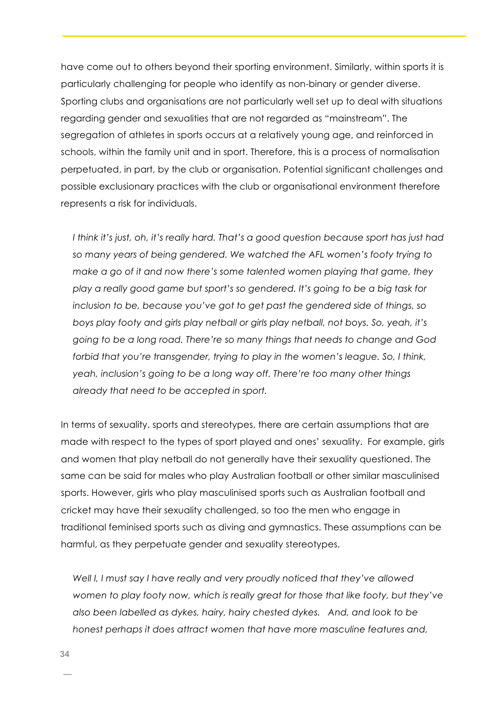have come out to others beyond their sporting environment. Similarly, within sports it is particularly challenging for people who identify as non-binary or gender diverse. Sporting clubs and organisations are not particularly well set up to deal with situations regarding gender and sexualities that are not regarded as "mainstream". The segregation of athletes in sports occurs at a relatively young age, and reinforced in schools, within the family unit and in sport. Therefore, this is a process of normalisation perpetuated, in part, by the club or organisation. Potential significant challenges and possible exclusionary practices with the club or organisational environment therefore represents a risk for individuals.

*I think it's just, oh, it's really hard. That's a good question because sport has just had so many years of being gendered. We watched the AFL women's footy trying to make a go of it and now there's some talented women playing that game, they play a really good game but sport's so gendered. It's going to be a big task for inclusion to be, because you've got to get past the gendered side of things, so boys play footy and girls play netball or girls play netball, not boys. So, yeah, it's going to be a long road. There're so many things that needs to change and God forbid that you're transgender, trying to play in the women's league. So, I think, yeah, inclusion's going to be a long way off. There're too many other things already that need to be accepted in sport.*

In terms of sexuality, sports and stereotypes, there are certain assumptions that are made with respect to the types of sport played and ones' sexuality. For example, girls and women that play netball do not generally have their sexuality questioned. The same can be said for males who play Australian football or other similar masculinised sports. However, girls who play masculinised sports such as Australian football and cricket may have their sexuality challenged, so too the men who engage in traditional feminised sports such as diving and gymnastics. These assumptions can be harmful, as they perpetuate gender and sexuality stereotypes.

*Well I, I must say I have really and very proudly noticed that they've allowed women to play footy now, which is really great for those that like footy, but they've also been labelled as dykes, hairy, hairy chested dykes. And, and look to be honest perhaps it does attract women that have more masculine features and,*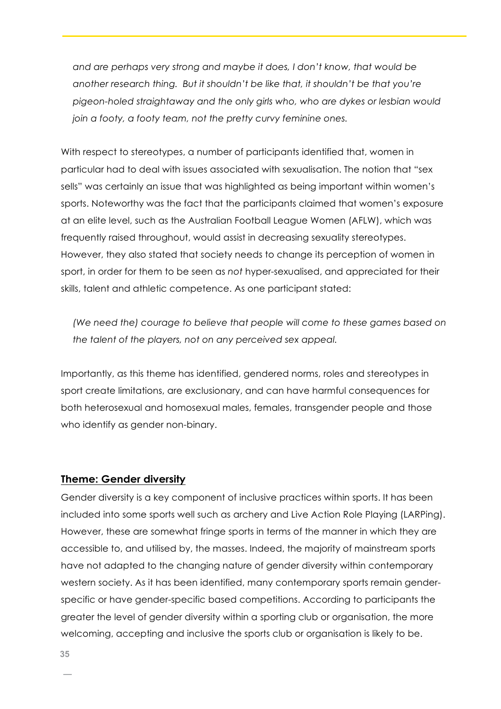*and are perhaps very strong and maybe it does, I don't know, that would be another research thing. But it shouldn't be like that, it shouldn't be that you're pigeon-holed straightaway and the only girls who, who are dykes or lesbian would join a footy, a footy team, not the pretty curvy feminine ones.*

With respect to stereotypes, a number of participants identified that, women in particular had to deal with issues associated with sexualisation. The notion that "sex sells" was certainly an issue that was highlighted as being important within women's sports. Noteworthy was the fact that the participants claimed that women's exposure at an elite level, such as the Australian Football League Women (AFLW), which was frequently raised throughout, would assist in decreasing sexuality stereotypes. However, they also stated that society needs to change its perception of women in sport, in order for them to be seen as *not* hyper-sexualised, and appreciated for their skills, talent and athletic competence. As one participant stated:

*(We need the) courage to believe that people will come to these games based on the talent of the players, not on any perceived sex appeal.*

Importantly, as this theme has identified, gendered norms, roles and stereotypes in sport create limitations, are exclusionary, and can have harmful consequences for both heterosexual and homosexual males, females, transgender people and those who identify as gender non-binary.

#### **Theme: Gender diversity**

Gender diversity is a key component of inclusive practices within sports. It has been included into some sports well such as archery and Live Action Role Playing (LARPing). However, these are somewhat fringe sports in terms of the manner in which they are accessible to, and utilised by, the masses. Indeed, the majority of mainstream sports have not adapted to the changing nature of gender diversity within contemporary western society. As it has been identified, many contemporary sports remain genderspecific or have gender-specific based competitions. According to participants the greater the level of gender diversity within a sporting club or organisation, the more welcoming, accepting and inclusive the sports club or organisation is likely to be.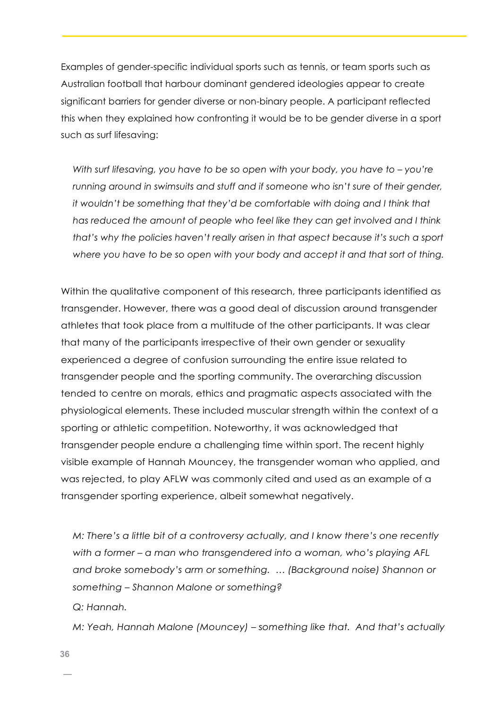Examples of gender-specific individual sports such as tennis, or team sports such as Australian football that harbour dominant gendered ideologies appear to create significant barriers for gender diverse or non-binary people. A participant reflected this when they explained how confronting it would be to be gender diverse in a sport such as surf lifesaving:

*With surf lifesaving, you have to be so open with your body, you have to – you're running around in swimsuits and stuff and if someone who isn't sure of their gender, it wouldn't be something that they'd be comfortable with doing and I think that has reduced the amount of people who feel like they can get involved and I think that's why the policies haven't really arisen in that aspect because it's such a sport where you have to be so open with your body and accept it and that sort of thing.*

Within the qualitative component of this research, three participants identified as transgender. However, there was a good deal of discussion around transgender athletes that took place from a multitude of the other participants. It was clear that many of the participants irrespective of their own gender or sexuality experienced a degree of confusion surrounding the entire issue related to transgender people and the sporting community. The overarching discussion tended to centre on morals, ethics and pragmatic aspects associated with the physiological elements. These included muscular strength within the context of a sporting or athletic competition. Noteworthy, it was acknowledged that transgender people endure a challenging time within sport. The recent highly visible example of Hannah Mouncey, the transgender woman who applied, and was rejected, to play AFLW was commonly cited and used as an example of a transgender sporting experience, albeit somewhat negatively.

*M: There's a little bit of a controversy actually, and I know there's one recently with a former – a man who transgendered into a woman, who's playing AFL and broke somebody's arm or something. … (Background noise) Shannon or something – Shannon Malone or something?* 

*Q: Hannah.*

*M: Yeah, Hannah Malone (Mouncey) – something like that. And that's actually*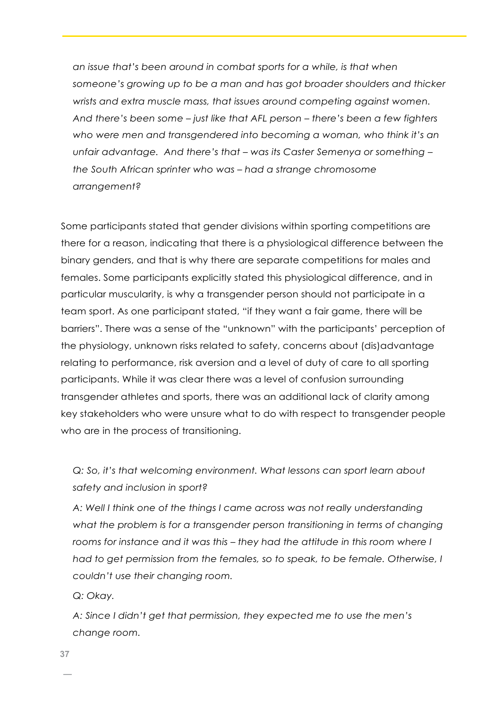*an issue that's been around in combat sports for a while, is that when someone's growing up to be a man and has got broader shoulders and thicker wrists and extra muscle mass, that issues around competing against women. And there's been some – just like that AFL person – there's been a few fighters who were men and transgendered into becoming a woman, who think it's an unfair advantage. And there's that – was its Caster Semenya or something – the South African sprinter who was – had a strange chromosome arrangement?* 

Some participants stated that gender divisions within sporting competitions are there for a reason, indicating that there is a physiological difference between the binary genders, and that is why there are separate competitions for males and females. Some participants explicitly stated this physiological difference, and in particular muscularity, is why a transgender person should not participate in a team sport. As one participant stated, "if they want a fair game, there will be barriers". There was a sense of the "unknown" with the participants' perception of the physiology, unknown risks related to safety, concerns about (dis)advantage relating to performance, risk aversion and a level of duty of care to all sporting participants. While it was clear there was a level of confusion surrounding transgender athletes and sports, there was an additional lack of clarity among key stakeholders who were unsure what to do with respect to transgender people who are in the process of transitioning.

## *Q: So, it's that welcoming environment. What lessons can sport learn about safety and inclusion in sport?*

*A: Well I think one of the things I came across was not really understanding*  what the problem is for a transgender person transitioning in terms of changing *rooms for instance and it was this – they had the attitude in this room where I had to get permission from the females, so to speak, to be female. Otherwise, I couldn't use their changing room.*

*Q: Okay.*

*A: Since I didn't get that permission, they expected me to use the men's change room.*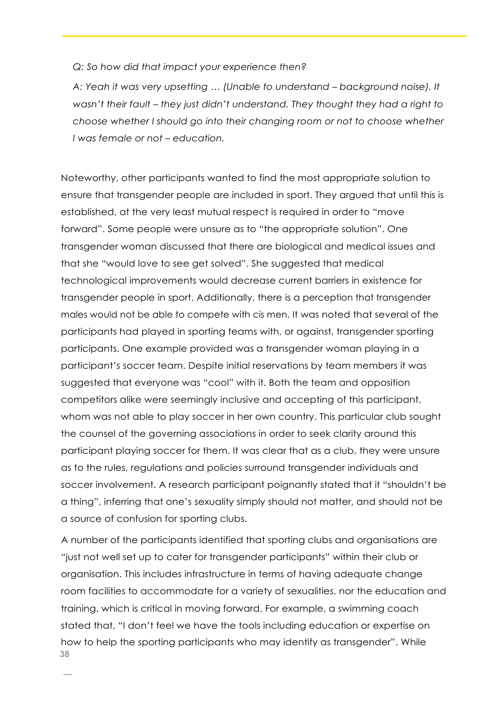#### *Q: So how did that impact your experience then?*

*A: Yeah it was very upsetting … (Unable to understand – background noise). It wasn't their fault – they just didn't understand. They thought they had a right to choose whether I should go into their changing room or not to choose whether I was female or not – education.*

Noteworthy, other participants wanted to find the most appropriate solution to ensure that transgender people are included in sport. They argued that until this is established, at the very least mutual respect is required in order to "move forward". Some people were unsure as to "the appropriate solution". One transgender woman discussed that there are biological and medical issues and that she "would love to see get solved". She suggested that medical technological improvements would decrease current barriers in existence for transgender people in sport. Additionally, there is a perception that transgender males would not be able to compete with cis men. It was noted that several of the participants had played in sporting teams with, or against, transgender sporting participants. One example provided was a transgender woman playing in a participant's soccer team. Despite initial reservations by team members it was suggested that everyone was "cool" with it. Both the team and opposition competitors alike were seemingly inclusive and accepting of this participant, whom was not able to play soccer in her own country. This particular club sought the counsel of the governing associations in order to seek clarity around this participant playing soccer for them. It was clear that as a club, they were unsure as to the rules, regulations and policies surround transgender individuals and soccer involvement. A research participant poignantly stated that it "shouldn't be a thing", inferring that one's sexuality simply should not matter, and should not be a source of confusion for sporting clubs.

**38** A number of the participants identified that sporting clubs and organisations are "just not well set up to cater for transgender participants" within their club or organisation. This includes infrastructure in terms of having adequate change room facilities to accommodate for a variety of sexualities, nor the education and training, which is critical in moving forward. For example, a swimming coach stated that, "I don't feel we have the tools including education or expertise on how to help the sporting participants who may identify as transgender". While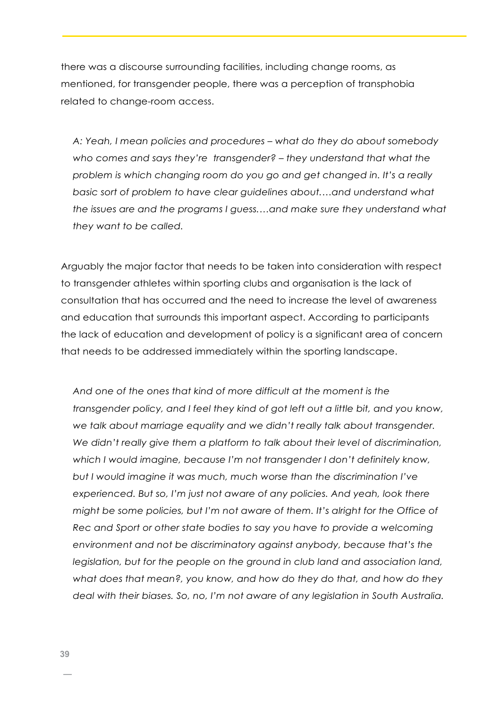there was a discourse surrounding facilities, including change rooms, as mentioned, for transgender people, there was a perception of transphobia related to change-room access.

*A: Yeah, I mean policies and procedures – what do they do about somebody who comes and says they're transgender? – they understand that what the problem is which changing room do you go and get changed in. It's a really basic sort of problem to have clear guidelines about.…and understand what the issues are and the programs I guess.…and make sure they understand what they want to be called.*

Arguably the major factor that needs to be taken into consideration with respect to transgender athletes within sporting clubs and organisation is the lack of consultation that has occurred and the need to increase the level of awareness and education that surrounds this important aspect. According to participants the lack of education and development of policy is a significant area of concern that needs to be addressed immediately within the sporting landscape.

*And one of the ones that kind of more difficult at the moment is the transgender policy, and I feel they kind of got left out a little bit, and you know, we talk about marriage equality and we didn't really talk about transgender. We didn't really give them a platform to talk about their level of discrimination, which I would imagine, because I'm not transgender I don't definitely know, but I would imagine it was much, much worse than the discrimination I've experienced. But so, I'm just not aware of any policies. And yeah, look there might be some policies, but I'm not aware of them. It's alright for the Office of Rec and Sport or other state bodies to say you have to provide a welcoming environment and not be discriminatory against anybody, because that's the legislation, but for the people on the ground in club land and association land, what does that mean?, you know, and how do they do that, and how do they deal with their biases. So, no, I'm not aware of any legislation in South Australia.*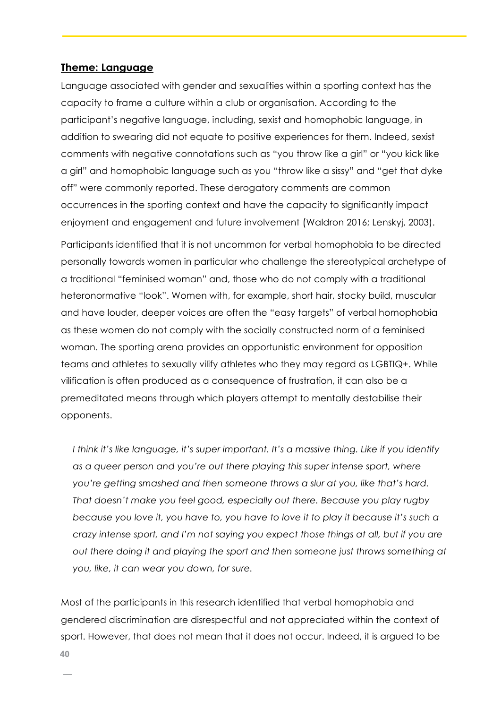#### **Theme: Language**

Language associated with gender and sexualities within a sporting context has the capacity to frame a culture within a club or organisation. According to the participant's negative language, including, sexist and homophobic language, in addition to swearing did not equate to positive experiences for them. Indeed, sexist comments with negative connotations such as "you throw like a girl" or "you kick like a girl" and homophobic language such as you "throw like a sissy" and "get that dyke off" were commonly reported. These derogatory comments are common occurrences in the sporting context and have the capacity to significantly impact enjoyment and engagement and future involvement (Waldron 2016; Lenskyj, 2003).

Participants identified that it is not uncommon for verbal homophobia to be directed personally towards women in particular who challenge the stereotypical archetype of a traditional "feminised woman" and, those who do not comply with a traditional heteronormative "look". Women with, for example, short hair, stocky build, muscular and have louder, deeper voices are often the "easy targets" of verbal homophobia as these women do not comply with the socially constructed norm of a feminised woman. The sporting arena provides an opportunistic environment for opposition teams and athletes to sexually vilify athletes who they may regard as LGBTIQ+. While vilification is often produced as a consequence of frustration, it can also be a premeditated means through which players attempt to mentally destabilise their opponents.

*I think it's like language, it's super important. It's a massive thing. Like if you identify as a queer person and you're out there playing this super intense sport, where you're getting smashed and then someone throws a slur at you, like that's hard. That doesn't make you feel good, especially out there. Because you play rugby because you love it, you have to, you have to love it to play it because it's such a crazy intense sport, and I'm not saying you expect those things at all, but if you are out there doing it and playing the sport and then someone just throws something at you, like, it can wear you down, for sure.*

**40** Most of the participants in this research identified that verbal homophobia and gendered discrimination are disrespectful and not appreciated within the context of sport. However, that does not mean that it does not occur. Indeed, it is argued to be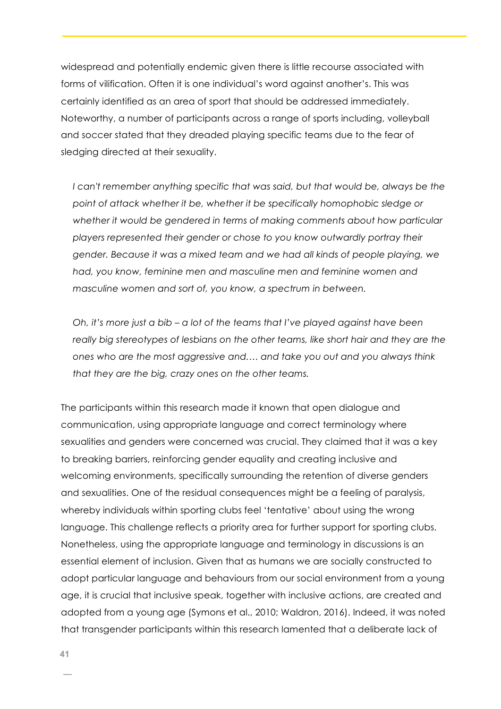widespread and potentially endemic given there is little recourse associated with forms of vilification. Often it is one individual's word against another's. This was certainly identified as an area of sport that should be addressed immediately. Noteworthy, a number of participants across a range of sports including, volleyball and soccer stated that they dreaded playing specific teams due to the fear of sledging directed at their sexuality.

*I can't remember anything specific that was said, but that would be, always be the point of attack whether it be, whether it be specifically homophobic sledge or*  whether it would be gendered in terms of making comments about how particular *players represented their gender or chose to you know outwardly portray their gender. Because it was a mixed team and we had all kinds of people playing, we had, you know, feminine men and masculine men and feminine women and masculine women and sort of, you know, a spectrum in between.*

*Oh, it's more just a bib – a lot of the teams that I've played against have been really big stereotypes of lesbians on the other teams, like short hair and they are the ones who are the most aggressive and.… and take you out and you always think that they are the big, crazy ones on the other teams.*

The participants within this research made it known that open dialogue and communication, using appropriate language and correct terminology where sexualities and genders were concerned was crucial. They claimed that it was a key to breaking barriers, reinforcing gender equality and creating inclusive and welcoming environments, specifically surrounding the retention of diverse genders and sexualities. One of the residual consequences might be a feeling of paralysis, whereby individuals within sporting clubs feel 'tentative' about using the wrong language. This challenge reflects a priority area for further support for sporting clubs. Nonetheless, using the appropriate language and terminology in discussions is an essential element of inclusion. Given that as humans we are socially constructed to adopt particular language and behaviours from our social environment from a young age, it is crucial that inclusive speak, together with inclusive actions, are created and adopted from a young age (Symons et al., 2010; Waldron, 2016). Indeed, it was noted that transgender participants within this research lamented that a deliberate lack of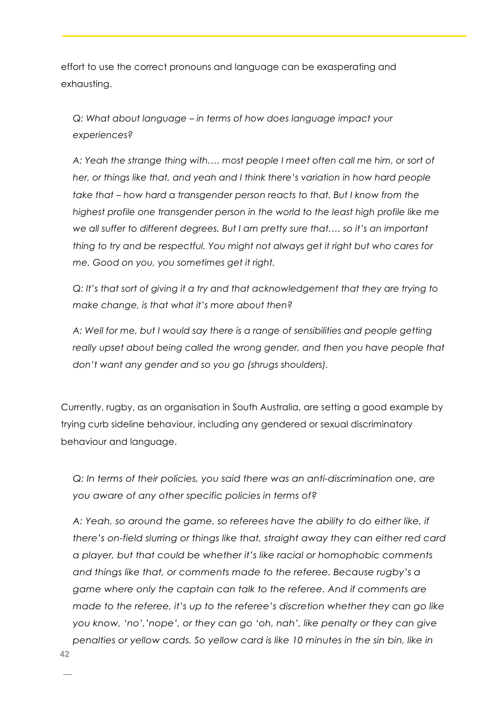effort to use the correct pronouns and language can be exasperating and exhausting.

*Q: What about language – in terms of how does language impact your experiences?*

*A: Yeah the strange thing with.… most people I meet often call me him, or sort of her, or things like that, and yeah and I think there's variation in how hard people take that – how hard a transgender person reacts to that. But I know from the highest profile one transgender person in the world to the least high profile like me we all suffer to different degrees. But I am pretty sure that.… so it's an important thing to try and be respectful. You might not always get it right but who cares for me. Good on you, you sometimes get it right.*

*Q: It's that sort of giving it a try and that acknowledgement that they are trying to make change, is that what it's more about then?*

*A: Well for me, but I would say there is a range of sensibilities and people getting*  really upset about being called the wrong gender, and then you have people that *don't want any gender and so you go (shrugs shoulders).*

Currently, rugby, as an organisation in South Australia, are setting a good example by trying curb sideline behaviour, including any gendered or sexual discriminatory behaviour and language.

*Q: In terms of their policies, you said there was an anti-discrimination one, are you aware of any other specific policies in terms of?*

*A: Yeah, so around the game, so referees have the ability to do either like, if there's on-field slurring or things like that, straight away they can either red card a player, but that could be whether it's like racial or homophobic comments and things like that, or comments made to the referee. Because rugby's a game where only the captain can talk to the referee. And if comments are made to the referee, it's up to the referee's discretion whether they can go like you know, 'no','nope', or they can go 'oh, nah', like penalty or they can give penalties or yellow cards. So yellow card is like 10 minutes in the sin bin, like in*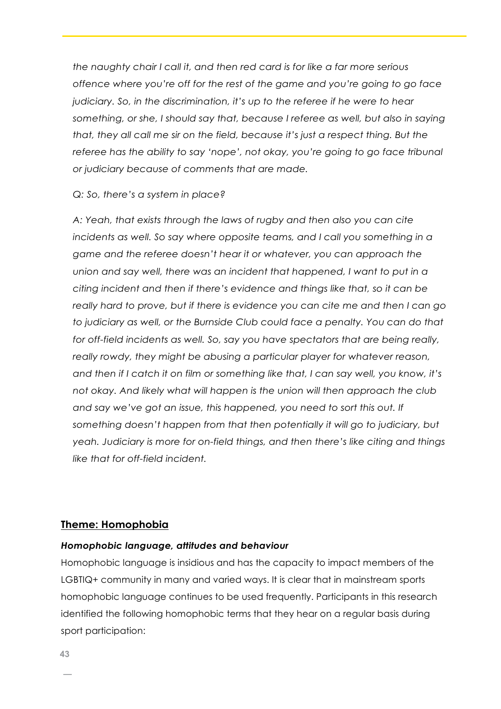*the naughty chair I call it, and then red card is for like a far more serious offence where you're off for the rest of the game and you're going to go face judiciary. So, in the discrimination, it's up to the referee if he were to hear something, or she, I should say that, because I referee as well, but also in saying that, they all call me sir on the field, because it's just a respect thing. But the referee has the ability to say 'nope', not okay, you're going to go face tribunal or judiciary because of comments that are made.*

*Q: So, there's a system in place?*

*A: Yeah, that exists through the laws of rugby and then also you can cite*  incidents as well. So say where opposite teams, and I call you something in a *game and the referee doesn't hear it or whatever, you can approach the union and say well, there was an incident that happened, I want to put in a citing incident and then if there's evidence and things like that, so it can be really hard to prove, but if there is evidence you can cite me and then I can go to judiciary as well, or the Burnside Club could face a penalty. You can do that for off-field incidents as well. So, say you have spectators that are being really, really rowdy, they might be abusing a particular player for whatever reason, and then if I catch it on film or something like that, I can say well, you know, it's not okay. And likely what will happen is the union will then approach the club and say we've got an issue, this happened, you need to sort this out. If something doesn't happen from that then potentially it will go to judiciary, but yeah. Judiciary is more for on-field things, and then there's like citing and things like that for off-field incident.*

### **Theme: Homophobia**

### *Homophobic language, attitudes and behaviour*

Homophobic language is insidious and has the capacity to impact members of the LGBTIQ+ community in many and varied ways. It is clear that in mainstream sports homophobic language continues to be used frequently. Participants in this research identified the following homophobic terms that they hear on a regular basis during sport participation: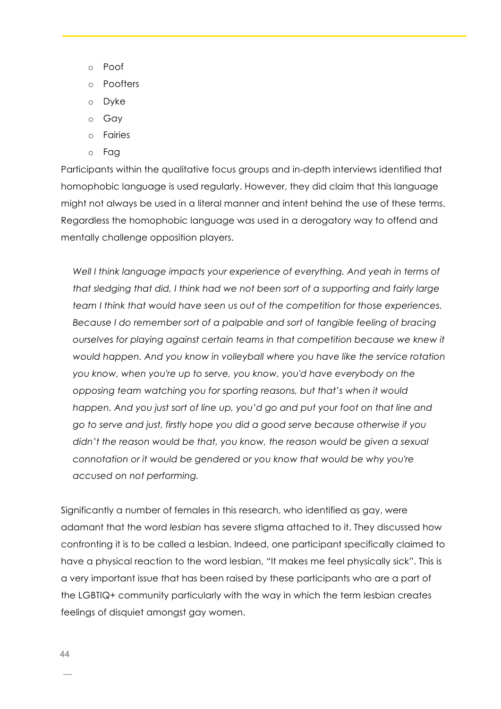- o Poof
- o Poofters
- o Dyke
- o Gay
- o Fairies
- o Fag

Participants within the qualitative focus groups and in-depth interviews identified that homophobic language is used regularly. However, they did claim that this language might not always be used in a literal manner and intent behind the use of these terms. Regardless the homophobic language was used in a derogatory way to offend and mentally challenge opposition players.

*Well I think language impacts your experience of everything. And yeah in terms of that sledging that did, I think had we not been sort of a supporting and fairly large team I think that would have seen us out of the competition for those experiences. Because I do remember sort of a palpable and sort of tangible feeling of bracing ourselves for playing against certain teams in that competition because we knew it would happen. And you know in volleyball where you have like the service rotation you know, when you're up to serve, you know, you'd have everybody on the opposing team watching you for sporting reasons, but that's when it would happen. And you just sort of line up, you'd go and put your foot on that line and go to serve and just, firstly hope you did a good serve because otherwise if you didn't the reason would be that, you know, the reason would be given a sexual connotation or it would be gendered or you know that would be why you're accused on not performing.*

Significantly a number of females in this research, who identified as gay, were adamant that the word *lesbian* has severe stigma attached to it. They discussed how confronting it is to be called a lesbian. Indeed, one participant specifically claimed to have a physical reaction to the word lesbian, "It makes me feel physically sick". This is a very important issue that has been raised by these participants who are a part of the LGBTIQ+ community particularly with the way in which the term lesbian creates feelings of disquiet amongst gay women.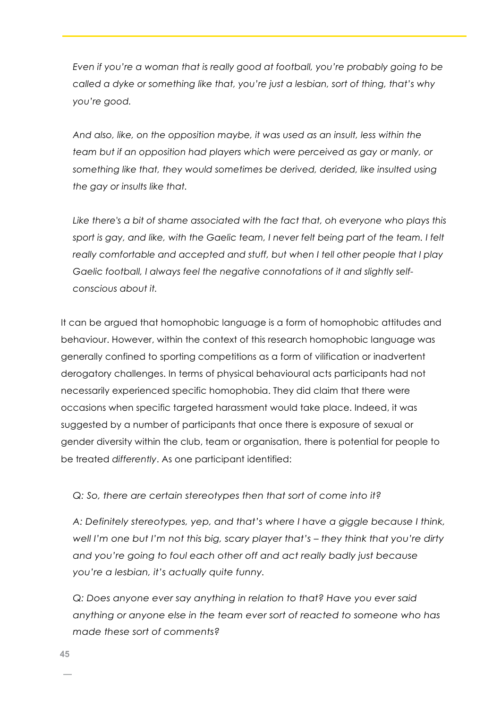*Even if you're a woman that is really good at football, you're probably going to be called a dyke or something like that, you're just a lesbian, sort of thing, that's why you're good.*

*And also, like, on the opposition maybe, it was used as an insult, less within the team but if an opposition had players which were perceived as gay or manly, or something like that, they would sometimes be derived, derided, like insulted using the gay or insults like that.*

*Like there's a bit of shame associated with the fact that, oh everyone who plays this sport is gay, and like, with the Gaelic team, I never felt being part of the team. I felt really comfortable and accepted and stuff, but when I tell other people that I play Gaelic football, I always feel the negative connotations of it and slightly selfconscious about it.*

It can be argued that homophobic language is a form of homophobic attitudes and behaviour. However, within the context of this research homophobic language was generally confined to sporting competitions as a form of vilification or inadvertent derogatory challenges. In terms of physical behavioural acts participants had not necessarily experienced specific homophobia. They did claim that there were occasions when specific targeted harassment would take place. Indeed, it was suggested by a number of participants that once there is exposure of sexual or gender diversity within the club, team or organisation, there is potential for people to be treated *differently*. As one participant identified:

### *Q: So, there are certain stereotypes then that sort of come into it?*

*A: Definitely stereotypes, yep, and that's where I have a giggle because I think, well I'm one but I'm not this big, scary player that's – they think that you're dirty and you're going to foul each other off and act really badly just because you're a lesbian, it's actually quite funny.*

*Q: Does anyone ever say anything in relation to that? Have you ever said anything or anyone else in the team ever sort of reacted to someone who has made these sort of comments?*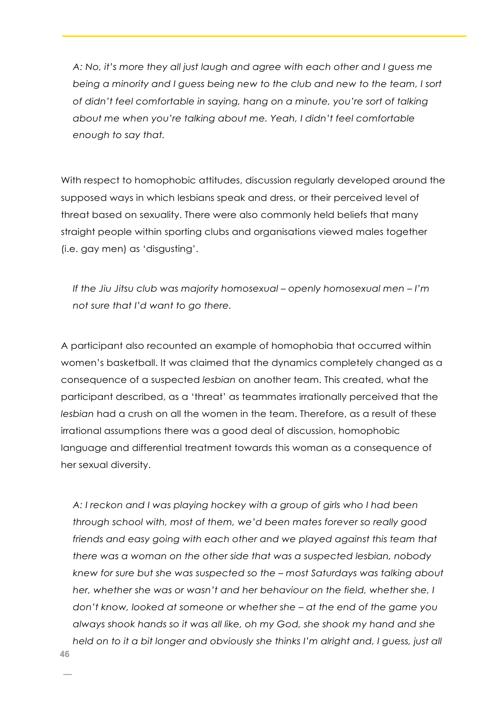*A: No, it's more they all just laugh and agree with each other and I guess me being a minority and I guess being new to the club and new to the team, I sort of didn't feel comfortable in saying, hang on a minute, you're sort of talking about me when you're talking about me. Yeah, I didn't feel comfortable enough to say that.*

With respect to homophobic attitudes, discussion regularly developed around the supposed ways in which lesbians speak and dress, or their perceived level of threat based on sexuality. There were also commonly held beliefs that many straight people within sporting clubs and organisations viewed males together (i.e. gay men) as 'disgusting'.

*If the Jiu Jitsu club was majority homosexual – openly homosexual men – I'm not sure that I'd want to go there.*

A participant also recounted an example of homophobia that occurred within women's basketball. It was claimed that the dynamics completely changed as a consequence of a suspected *lesbian* on another team. This created, what the participant described, as a 'threat' as teammates irrationally perceived that the *lesbian* had a crush on all the women in the team. Therefore, as a result of these irrational assumptions there was a good deal of discussion, homophobic language and differential treatment towards this woman as a consequence of her sexual diversity.

*A: I reckon and I was playing hockey with a group of girls who I had been through school with, most of them, we'd been mates forever so really good friends and easy going with each other and we played against this team that there was a woman on the other side that was a suspected lesbian, nobody knew for sure but she was suspected so the – most Saturdays was talking about her, whether she was or wasn't and her behaviour on the field, whether she, I don't know, looked at someone or whether she – at the end of the game you always shook hands so it was all like, oh my God, she shook my hand and she held on to it a bit longer and obviously she thinks I'm alright and, I guess, just all* 

**46**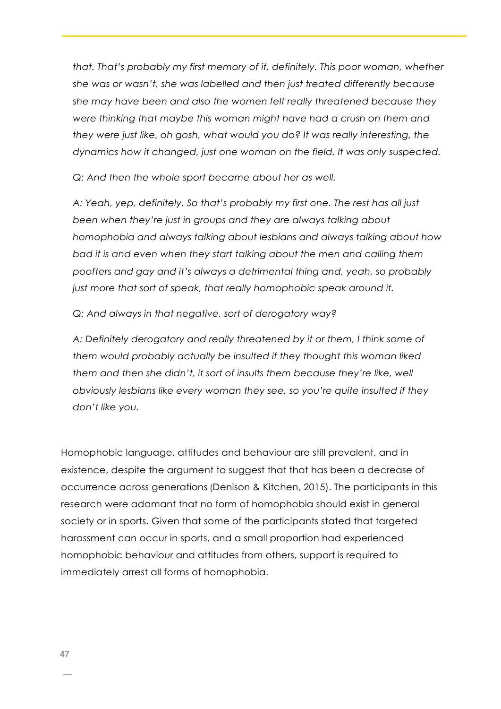*that. That's probably my first memory of it, definitely. This poor woman, whether she was or wasn't, she was labelled and then just treated differently because she may have been and also the women felt really threatened because they were thinking that maybe this woman might have had a crush on them and they were just like, oh gosh, what would you do? It was really interesting, the dynamics how it changed, just one woman on the field. It was only suspected.*

*Q: And then the whole sport became about her as well.*

*A: Yeah, yep, definitely. So that's probably my first one. The rest has all just been when they're just in groups and they are always talking about homophobia and always talking about lesbians and always talking about how bad it is and even when they start talking about the men and calling them poofters and gay and it's always a detrimental thing and, yeah, so probably just more that sort of speak, that really homophobic speak around it.*

*Q: And always in that negative, sort of derogatory way?*

*A: Definitely derogatory and really threatened by it or them, I think some of them would probably actually be insulted if they thought this woman liked them and then she didn't, it sort of insults them because they're like, well obviously lesbians like every woman they see, so you're quite insulted if they don't like you.*

Homophobic language, attitudes and behaviour are still prevalent, and in existence, despite the argument to suggest that that has been a decrease of occurrence across generations (Denison & Kitchen, 2015). The participants in this research were adamant that no form of homophobia should exist in general society or in sports. Given that some of the participants stated that targeted harassment can occur in sports, and a small proportion had experienced homophobic behaviour and attitudes from others, support is required to immediately arrest all forms of homophobia.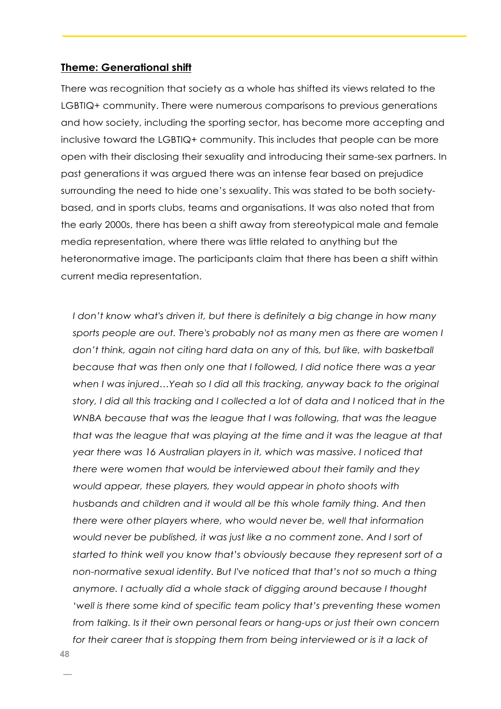#### **Theme: Generational shift**

There was recognition that society as a whole has shifted its views related to the LGBTIQ+ community. There were numerous comparisons to previous generations and how society, including the sporting sector, has become more accepting and inclusive toward the LGBTIQ+ community. This includes that people can be more open with their disclosing their sexuality and introducing their same-sex partners. In past generations it was argued there was an intense fear based on prejudice surrounding the need to hide one's sexuality. This was stated to be both societybased, and in sports clubs, teams and organisations. It was also noted that from the early 2000s, there has been a shift away from stereotypical male and female media representation, where there was little related to anything but the heteronormative image. The participants claim that there has been a shift within current media representation.

*I don't know what's driven it, but there is definitely a big change in how many sports people are out. There's probably not as many men as there are women I don't think, again not citing hard data on any of this, but like, with basketball because that was then only one that I followed, I did notice there was a year when I was injured…Yeah so I did all this tracking, anyway back to the original story, I did all this tracking and I collected a lot of data and I noticed that in the WNBA because that was the league that I was following, that was the league that was the league that was playing at the time and it was the league at that year there was 16 Australian players in it, which was massive. I noticed that there were women that would be interviewed about their family and they would appear, these players, they would appear in photo shoots with husbands and children and it would all be this whole family thing. And then there were other players where, who would never be, well that information would never be published, it was just like a no comment zone. And I sort of started to think well you know that's obviously because they represent sort of a non-normative sexual identity. But I've noticed that that's not so much a thing anymore. I actually did a whole stack of digging around because I thought 'well is there some kind of specific team policy that's preventing these women from talking. Is it their own personal fears or hang-ups or just their own concern*  for their career that is stopping them from being interviewed or is it a lack of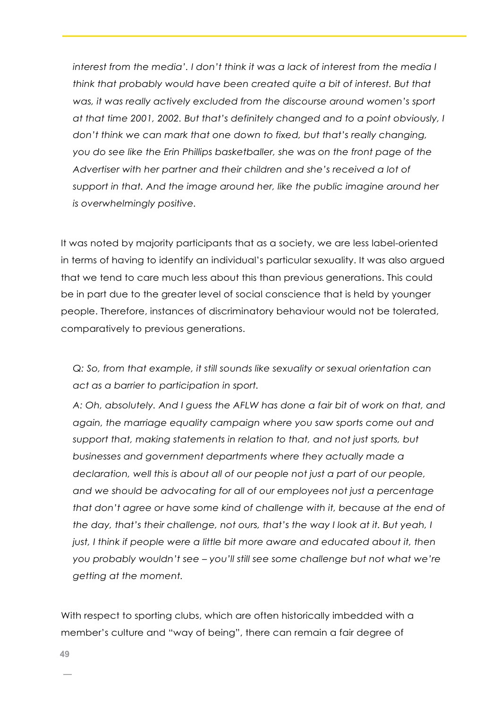*interest from the media'. I don't think it was a lack of interest from the media I think that probably would have been created quite a bit of interest. But that was, it was really actively excluded from the discourse around women's sport at that time 2001, 2002. But that's definitely changed and to a point obviously, I don't think we can mark that one down to fixed, but that's really changing, you do see like the Erin Phillips basketballer, she was on the front page of the Advertiser with her partner and their children and she's received a lot of support in that. And the image around her, like the public imagine around her is overwhelmingly positive.*

It was noted by majority participants that as a society, we are less label-oriented in terms of having to identify an individual's particular sexuality. It was also argued that we tend to care much less about this than previous generations. This could be in part due to the greater level of social conscience that is held by younger people. Therefore, instances of discriminatory behaviour would not be tolerated, comparatively to previous generations.

*Q: So, from that example, it still sounds like sexuality or sexual orientation can act as a barrier to participation in sport.*

A: Oh, absolutely. And I guess the AFLW has done a fair bit of work on that, and *again, the marriage equality campaign where you saw sports come out and support that, making statements in relation to that, and not just sports, but businesses and government departments where they actually made a declaration, well this is about all of our people not just a part of our people, and we should be advocating for all of our employees not just a percentage that don't agree or have some kind of challenge with it, because at the end of the day, that's their challenge, not ours, that's the way I look at it. But yeah, I just, I think if people were a little bit more aware and educated about it, then you probably wouldn't see – you'll still see some challenge but not what we're getting at the moment.*

With respect to sporting clubs, which are often historically imbedded with a member's culture and "way of being", there can remain a fair degree of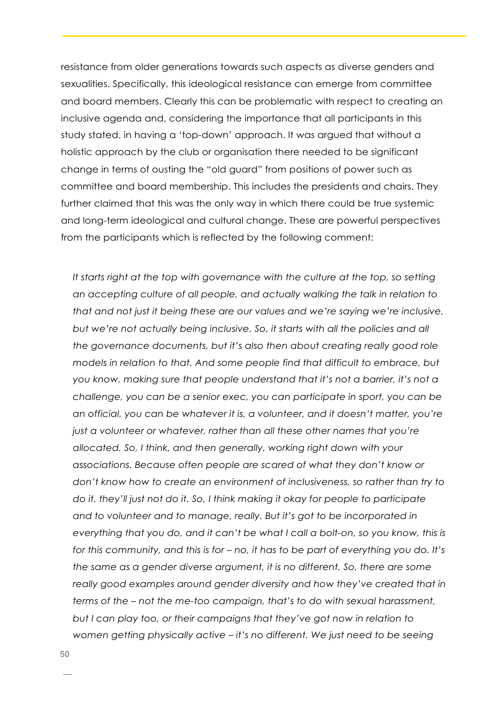resistance from older generations towards such aspects as diverse genders and sexualities. Specifically, this ideological resistance can emerge from committee and board members. Clearly this can be problematic with respect to creating an inclusive agenda and, considering the importance that all participants in this study stated, in having a 'top-down' approach. It was argued that without a holistic approach by the club or organisation there needed to be significant change in terms of ousting the "old guard" from positions of power such as committee and board membership. This includes the presidents and chairs. They further claimed that this was the only way in which there could be true systemic and long-term ideological and cultural change. These are powerful perspectives from the participants which is reflected by the following comment:

It starts right at the top with governance with the culture at the top, so setting *an accepting culture of all people, and actually walking the talk in relation to that and not just it being these are our values and we're saying we're inclusive, but we're not actually being inclusive. So, it starts with all the policies and all the governance documents, but it's also then about creating really good role models in relation to that. And some people find that difficult to embrace, but you know, making sure that people understand that it's not a barrier, it's not a challenge, you can be a senior exec, you can participate in sport, you can be an official, you can be whatever it is, a volunteer, and it doesn't matter, you're just a volunteer or whatever, rather than all these other names that you're allocated. So, I think, and then generally, working right down with your associations. Because often people are scared of what they don't know or don't know how to create an environment of inclusiveness, so rather than try to do it, they'll just not do it. So, I think making it okay for people to participate and to volunteer and to manage, really. But it's got to be incorporated in everything that you do, and it can't be what I call a bolt-on, so you know, this is for this community, and this is for – no, it has to be part of everything you do. It's the same as a gender diverse argument, it is no different. So, there are some*  really good examples around gender diversity and how they've created that in *terms of the – not the me-too campaign, that's to do with sexual harassment, but I can play too, or their campaigns that they've got now in relation to women getting physically active – it's no different. We just need to be seeing*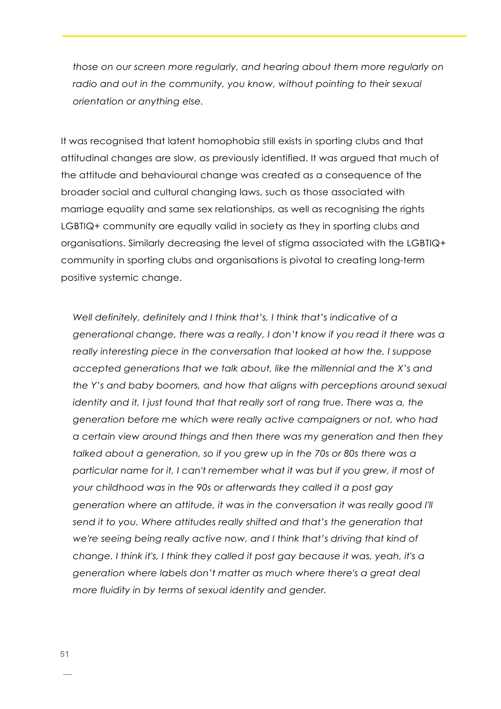*those on our screen more regularly, and hearing about them more regularly on*  radio and out in the community, you know, without pointing to their sexual *orientation or anything else.*

It was recognised that latent homophobia still exists in sporting clubs and that attitudinal changes are slow, as previously identified. It was argued that much of the attitude and behavioural change was created as a consequence of the broader social and cultural changing laws, such as those associated with marriage equality and same sex relationships, as well as recognising the rights LGBTIQ+ community are equally valid in society as they in sporting clubs and organisations. Similarly decreasing the level of stigma associated with the LGBTIQ+ community in sporting clubs and organisations is pivotal to creating long-term positive systemic change.

*Well definitely, definitely and I think that's, I think that's indicative of a generational change, there was a really, I don't know if you read it there was a really interesting piece in the conversation that looked at how the, I suppose accepted generations that we talk about, like the millennial and the X's and the Y's and baby boomers, and how that aligns with perceptions around sexual identity and it, I just found that that really sort of rang true. There was a, the generation before me which were really active campaigners or not, who had a certain view around things and then there was my generation and then they talked about a generation, so if you grew up in the 70s or 80s there was a particular name for it, I can't remember what it was but if you grew, if most of your childhood was in the 90s or afterwards they called it a post gay generation where an attitude, it was in the conversation it was really good I'll send it to you. Where attitudes really shifted and that's the generation that we're seeing being really active now, and I think that's driving that kind of change. I think it's, I think they called it post gay because it was, yeah, it's a generation where labels don't matter as much where there's a great deal more fluidity in by terms of sexual identity and gender.*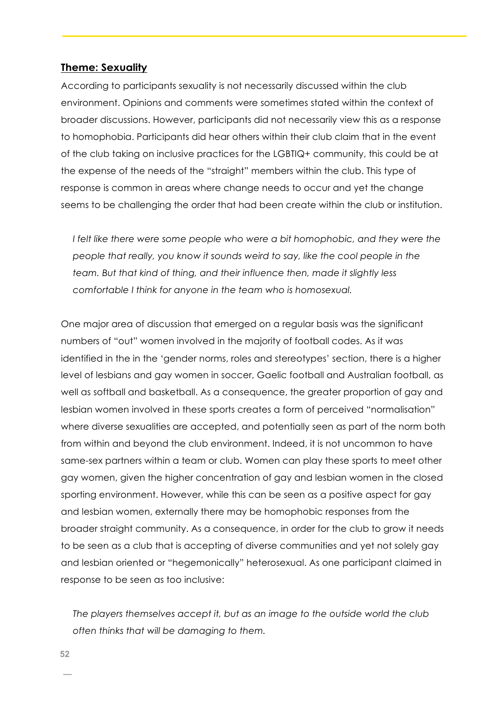#### **Theme: Sexuality**

According to participants sexuality is not necessarily discussed within the club environment. Opinions and comments were sometimes stated within the context of broader discussions. However, participants did not necessarily view this as a response to homophobia. Participants did hear others within their club claim that in the event of the club taking on inclusive practices for the LGBTIQ+ community, this could be at the expense of the needs of the "straight" members within the club. This type of response is common in areas where change needs to occur and yet the change seems to be challenging the order that had been create within the club or institution.

*I felt like there were some people who were a bit homophobic, and they were the people that really, you know it sounds weird to say, like the cool people in the team. But that kind of thing, and their influence then, made it slightly less comfortable I think for anyone in the team who is homosexual.*

One major area of discussion that emerged on a regular basis was the significant numbers of "out" women involved in the majority of football codes. As it was identified in the in the 'gender norms, roles and stereotypes' section, there is a higher level of lesbians and gay women in soccer, Gaelic football and Australian football, as well as softball and basketball. As a consequence, the greater proportion of gay and lesbian women involved in these sports creates a form of perceived "normalisation" where diverse sexualities are accepted, and potentially seen as part of the norm both from within and beyond the club environment. Indeed, it is not uncommon to have same-sex partners within a team or club. Women can play these sports to meet other gay women, given the higher concentration of gay and lesbian women in the closed sporting environment. However, while this can be seen as a positive aspect for gay and lesbian women, externally there may be homophobic responses from the broader straight community. As a consequence, in order for the club to grow it needs to be seen as a club that is accepting of diverse communities and yet not solely gay and lesbian oriented or "hegemonically" heterosexual. As one participant claimed in response to be seen as too inclusive:

*The players themselves accept it, but as an image to the outside world the club often thinks that will be damaging to them.*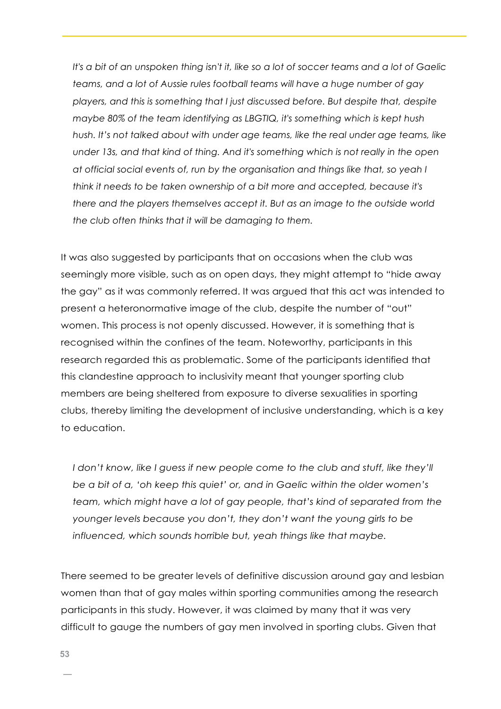*It's a bit of an unspoken thing isn't it, like so a lot of soccer teams and a lot of Gaelic teams, and a lot of Aussie rules football teams will have a huge number of gay players, and this is something that I just discussed before. But despite that, despite maybe 80% of the team identifying as LBGTIQ, it's something which is kept hush hush. It's not talked about with under age teams, like the real under age teams, like under 13s, and that kind of thing. And it's something which is not really in the open at official social events of, run by the organisation and things like that, so yeah I think it needs to be taken ownership of a bit more and accepted, because it's there and the players themselves accept it. But as an image to the outside world the club often thinks that it will be damaging to them.*

It was also suggested by participants that on occasions when the club was seemingly more visible, such as on open days, they might attempt to "hide away the gay" as it was commonly referred. It was argued that this act was intended to present a heteronormative image of the club, despite the number of "out" women. This process is not openly discussed. However, it is something that is recognised within the confines of the team. Noteworthy, participants in this research regarded this as problematic. Some of the participants identified that this clandestine approach to inclusivity meant that younger sporting club members are being sheltered from exposure to diverse sexualities in sporting clubs, thereby limiting the development of inclusive understanding, which is a key to education.

*I* don't know, like I guess if new people come to the club and stuff, like they'll *be a bit of a, 'oh keep this quiet' or, and in Gaelic within the older women's team, which might have a lot of gay people, that's kind of separated from the younger levels because you don't, they don't want the young girls to be influenced, which sounds horrible but, yeah things like that maybe.*

There seemed to be greater levels of definitive discussion around gay and lesbian women than that of gay males within sporting communities among the research participants in this study. However, it was claimed by many that it was very difficult to gauge the numbers of gay men involved in sporting clubs. Given that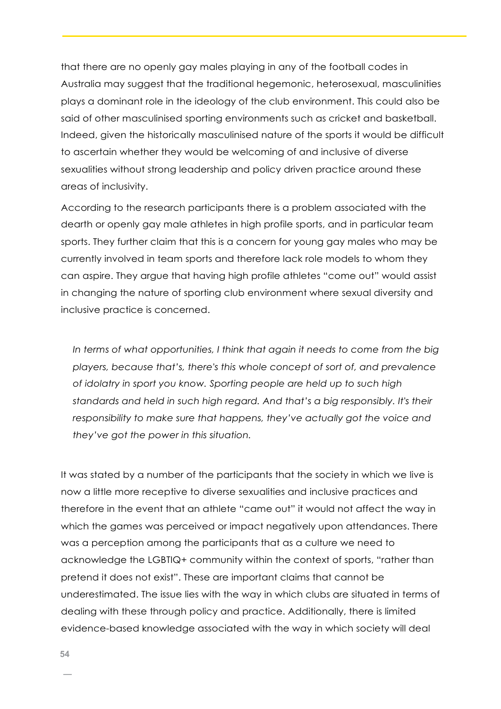that there are no openly gay males playing in any of the football codes in Australia may suggest that the traditional hegemonic, heterosexual, masculinities plays a dominant role in the ideology of the club environment. This could also be said of other masculinised sporting environments such as cricket and basketball. Indeed, given the historically masculinised nature of the sports it would be difficult to ascertain whether they would be welcoming of and inclusive of diverse sexualities without strong leadership and policy driven practice around these areas of inclusivity.

According to the research participants there is a problem associated with the dearth or openly gay male athletes in high profile sports, and in particular team sports. They further claim that this is a concern for young gay males who may be currently involved in team sports and therefore lack role models to whom they can aspire. They argue that having high profile athletes "come out" would assist in changing the nature of sporting club environment where sexual diversity and inclusive practice is concerned.

In terms of what opportunities, I think that again it needs to come from the big *players, because that's, there's this whole concept of sort of, and prevalence of idolatry in sport you know. Sporting people are held up to such high standards and held in such high regard. And that's a big responsibly. It's their responsibility to make sure that happens, they've actually got the voice and they've got the power in this situation.*

It was stated by a number of the participants that the society in which we live is now a little more receptive to diverse sexualities and inclusive practices and therefore in the event that an athlete "came out" it would not affect the way in which the games was perceived or impact negatively upon attendances. There was a perception among the participants that as a culture we need to acknowledge the LGBTIQ+ community within the context of sports, "rather than pretend it does not exist". These are important claims that cannot be underestimated. The issue lies with the way in which clubs are situated in terms of dealing with these through policy and practice. Additionally, there is limited evidence-based knowledge associated with the way in which society will deal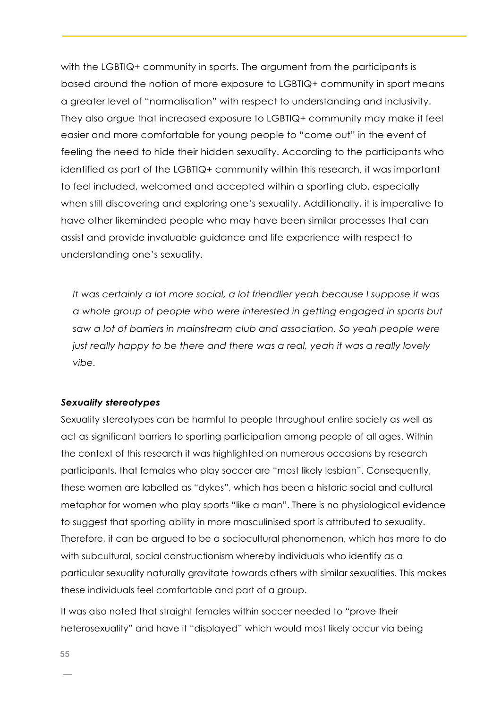with the LGBTIQ+ community in sports. The argument from the participants is based around the notion of more exposure to LGBTIQ+ community in sport means a greater level of "normalisation" with respect to understanding and inclusivity. They also argue that increased exposure to LGBTIQ+ community may make it feel easier and more comfortable for young people to "come out" in the event of feeling the need to hide their hidden sexuality. According to the participants who identified as part of the LGBTIQ+ community within this research, it was important to feel included, welcomed and accepted within a sporting club, especially when still discovering and exploring one's sexuality. Additionally, it is imperative to have other likeminded people who may have been similar processes that can assist and provide invaluable guidance and life experience with respect to understanding one's sexuality.

*It was certainly a lot more social, a lot friendlier yeah because I suppose it was a whole group of people who were interested in getting engaged in sports but saw a lot of barriers in mainstream club and association. So yeah people were just really happy to be there and there was a real, yeah it was a really lovely vibe.*

#### *Sexuality stereotypes*

Sexuality stereotypes can be harmful to people throughout entire society as well as act as significant barriers to sporting participation among people of all ages. Within the context of this research it was highlighted on numerous occasions by research participants, that females who play soccer are "most likely lesbian". Consequently, these women are labelled as "dykes", which has been a historic social and cultural metaphor for women who play sports "like a man". There is no physiological evidence to suggest that sporting ability in more masculinised sport is attributed to sexuality. Therefore, it can be argued to be a sociocultural phenomenon, which has more to do with subcultural, social constructionism whereby individuals who identify as a particular sexuality naturally gravitate towards others with similar sexualities. This makes these individuals feel comfortable and part of a group.

It was also noted that straight females within soccer needed to "prove their heterosexuality" and have it "displayed" which would most likely occur via being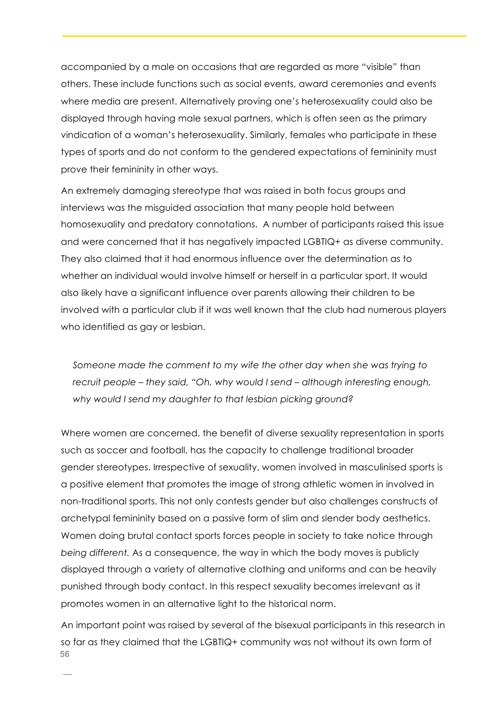accompanied by a male on occasions that are regarded as more "visible" than others. These include functions such as social events, award ceremonies and events where media are present. Alternatively proving one's heterosexuality could also be displayed through having male sexual partners, which is often seen as the primary vindication of a woman's heterosexuality. Similarly, females who participate in these types of sports and do not conform to the gendered expectations of femininity must prove their femininity in other ways.

An extremely damaging stereotype that was raised in both focus groups and interviews was the misguided association that many people hold between homosexuality and predatory connotations. A number of participants raised this issue and were concerned that it has negatively impacted LGBTIQ+ as diverse community. They also claimed that it had enormous influence over the determination as to whether an individual would involve himself or herself in a particular sport. It would also likely have a significant influence over parents allowing their children to be involved with a particular club if it was well known that the club had numerous players who identified as gay or lesbian.

*Someone made the comment to my wife the other day when she was trying to recruit people – they said, "Oh, why would I send – although interesting enough, why would I send my daughter to that lesbian picking ground?*

Where women are concerned, the benefit of diverse sexuality representation in sports such as soccer and football, has the capacity to challenge traditional broader gender stereotypes. Irrespective of sexuality, women involved in masculinised sports is a positive element that promotes the image of strong athletic women in involved in non-traditional sports. This not only contests gender but also challenges constructs of archetypal femininity based on a passive form of slim and slender body aesthetics. Women doing brutal contact sports forces people in society to take notice through *being different.* As a consequence, the way in which the body moves is publicly displayed through a variety of alternative clothing and uniforms and can be heavily punished through body contact. In this respect sexuality becomes irrelevant as it promotes women in an alternative light to the historical norm.

**56** An important point was raised by several of the bisexual participants in this research in so far as they claimed that the LGBTIQ+ community was not without its own form of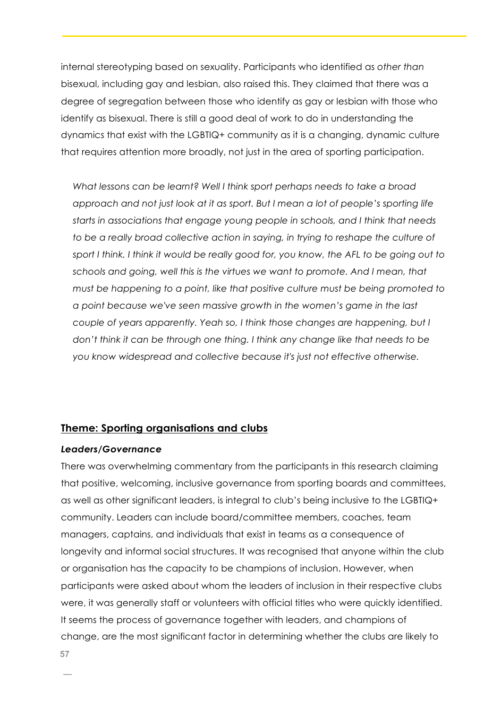internal stereotyping based on sexuality. Participants who identified as *other than* bisexual, including gay and lesbian, also raised this. They claimed that there was a degree of segregation between those who identify as gay or lesbian with those who identify as bisexual. There is still a good deal of work to do in understanding the dynamics that exist with the LGBTIQ+ community as it is a changing, dynamic culture that requires attention more broadly, not just in the area of sporting participation.

*What lessons can be learnt? Well I think sport perhaps needs to take a broad approach and not just look at it as sport. But I mean a lot of people's sporting life starts in associations that engage young people in schools, and I think that needs to be a really broad collective action in saying, in trying to reshape the culture of sport I think. I think it would be really good for, you know, the AFL to be going out to schools and going, well this is the virtues we want to promote. And I mean, that must be happening to a point, like that positive culture must be being promoted to a point because we've seen massive growth in the women's game in the last couple of years apparently. Yeah so, I think those changes are happening, but I don't think it can be through one thing. I think any change like that needs to be you know widespread and collective because it's just not effective otherwise.*

#### **Theme: Sporting organisations and clubs**

#### *Leaders/Governance*

There was overwhelming commentary from the participants in this research claiming that positive, welcoming, inclusive governance from sporting boards and committees, as well as other significant leaders, is integral to club's being inclusive to the LGBTIQ+ community. Leaders can include board/committee members, coaches, team managers, captains, and individuals that exist in teams as a consequence of longevity and informal social structures. It was recognised that anyone within the club or organisation has the capacity to be champions of inclusion. However, when participants were asked about whom the leaders of inclusion in their respective clubs were, it was generally staff or volunteers with official titles who were quickly identified. It seems the process of governance together with leaders, and champions of change, are the most significant factor in determining whether the clubs are likely to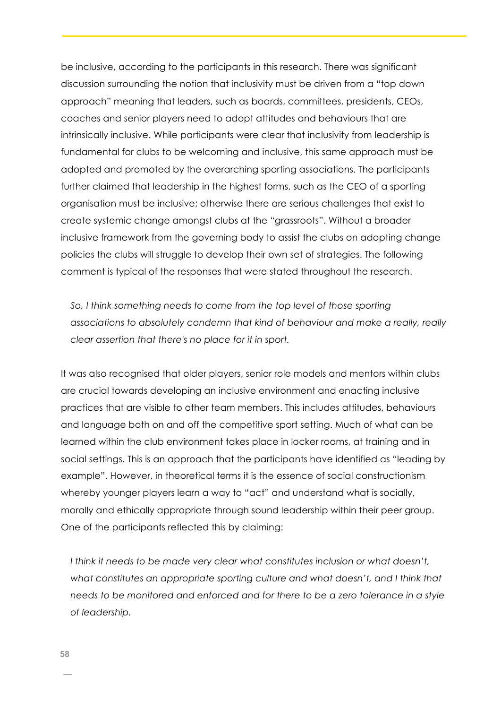be inclusive, according to the participants in this research. There was significant discussion surrounding the notion that inclusivity must be driven from a "top down approach" meaning that leaders, such as boards, committees, presidents, CEOs, coaches and senior players need to adopt attitudes and behaviours that are intrinsically inclusive. While participants were clear that inclusivity from leadership is fundamental for clubs to be welcoming and inclusive, this same approach must be adopted and promoted by the overarching sporting associations. The participants further claimed that leadership in the highest forms, such as the CEO of a sporting organisation must be inclusive; otherwise there are serious challenges that exist to create systemic change amongst clubs at the "grassroots". Without a broader inclusive framework from the governing body to assist the clubs on adopting change policies the clubs will struggle to develop their own set of strategies. The following comment is typical of the responses that were stated throughout the research.

*So, I think something needs to come from the top level of those sporting*  associations to absolutely condemn that kind of behaviour and make a really, really *clear assertion that there's no place for it in sport.*

It was also recognised that older players, senior role models and mentors within clubs are crucial towards developing an inclusive environment and enacting inclusive practices that are visible to other team members. This includes attitudes, behaviours and language both on and off the competitive sport setting. Much of what can be learned within the club environment takes place in locker rooms, at training and in social settings. This is an approach that the participants have identified as "leading by example". However, in theoretical terms it is the essence of social constructionism whereby younger players learn a way to "act" and understand what is socially, morally and ethically appropriate through sound leadership within their peer group. One of the participants reflected this by claiming:

*I think it needs to be made very clear what constitutes inclusion or what doesn't,*  what constitutes an appropriate sporting culture and what doesn't, and I think that *needs to be monitored and enforced and for there to be a zero tolerance in a style of leadership.*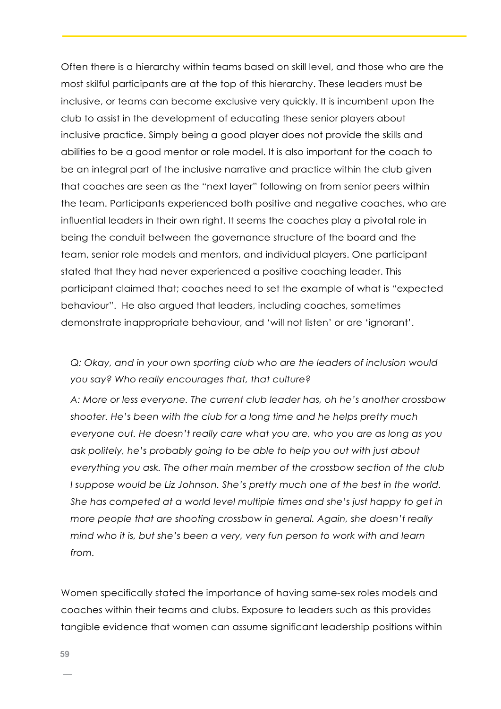Often there is a hierarchy within teams based on skill level, and those who are the most skilful participants are at the top of this hierarchy. These leaders must be inclusive, or teams can become exclusive very quickly. It is incumbent upon the club to assist in the development of educating these senior players about inclusive practice. Simply being a good player does not provide the skills and abilities to be a good mentor or role model. It is also important for the coach to be an integral part of the inclusive narrative and practice within the club given that coaches are seen as the "next layer" following on from senior peers within the team. Participants experienced both positive and negative coaches, who are influential leaders in their own right. It seems the coaches play a pivotal role in being the conduit between the governance structure of the board and the team, senior role models and mentors, and individual players. One participant stated that they had never experienced a positive coaching leader. This participant claimed that; coaches need to set the example of what is "expected behaviour". He also argued that leaders, including coaches, sometimes demonstrate inappropriate behaviour, and 'will not listen' or are 'ignorant'.

### *Q: Okay, and in your own sporting club who are the leaders of inclusion would you say? Who really encourages that, that culture?*

*A: More or less everyone. The current club leader has, oh he's another crossbow shooter. He's been with the club for a long time and he helps pretty much everyone out. He doesn't really care what you are, who you are as long as you ask politely, he's probably going to be able to help you out with just about everything you ask. The other main member of the crossbow section of the club*  I suppose would be Liz Johnson. She's pretty much one of the best in the world. *She has competed at a world level multiple times and she's just happy to get in more people that are shooting crossbow in general. Again, she doesn't really mind who it is, but she's been a very, very fun person to work with and learn from.*

Women specifically stated the importance of having same-sex roles models and coaches within their teams and clubs. Exposure to leaders such as this provides tangible evidence that women can assume significant leadership positions within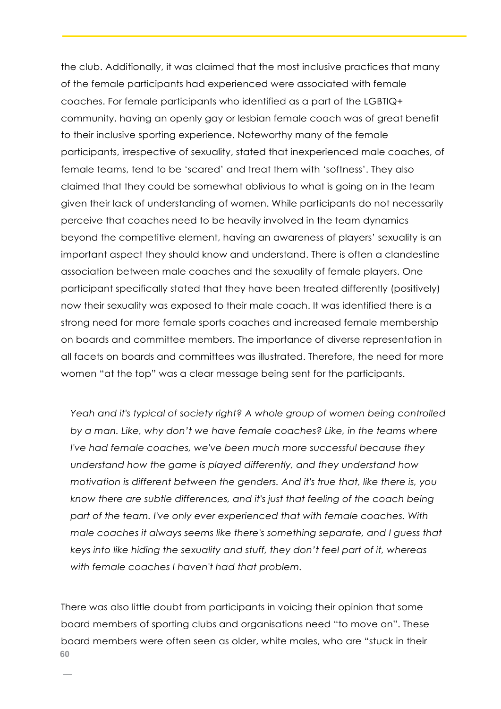the club. Additionally, it was claimed that the most inclusive practices that many of the female participants had experienced were associated with female coaches. For female participants who identified as a part of the LGBTIQ+ community, having an openly gay or lesbian female coach was of great benefit to their inclusive sporting experience. Noteworthy many of the female participants, irrespective of sexuality, stated that inexperienced male coaches, of female teams, tend to be 'scared' and treat them with 'softness'. They also claimed that they could be somewhat oblivious to what is going on in the team given their lack of understanding of women. While participants do not necessarily perceive that coaches need to be heavily involved in the team dynamics beyond the competitive element, having an awareness of players' sexuality is an important aspect they should know and understand. There is often a clandestine association between male coaches and the sexuality of female players. One participant specifically stated that they have been treated differently (positively) now their sexuality was exposed to their male coach. It was identified there is a strong need for more female sports coaches and increased female membership on boards and committee members. The importance of diverse representation in all facets on boards and committees was illustrated. Therefore, the need for more women "at the top" was a clear message being sent for the participants.

*Yeah and it's typical of society right? A whole group of women being controlled by a man. Like, why don't we have female coaches? Like, in the teams where I've had female coaches, we've been much more successful because they understand how the game is played differently, and they understand how motivation is different between the genders. And it's true that, like there is, you know there are subtle differences, and it's just that feeling of the coach being part of the team. I've only ever experienced that with female coaches. With male coaches it always seems like there's something separate, and I guess that keys into like hiding the sexuality and stuff, they don't feel part of it, whereas with female coaches I haven't had that problem.*

**60** There was also little doubt from participants in voicing their opinion that some board members of sporting clubs and organisations need "to move on". These board members were often seen as older, white males, who are "stuck in their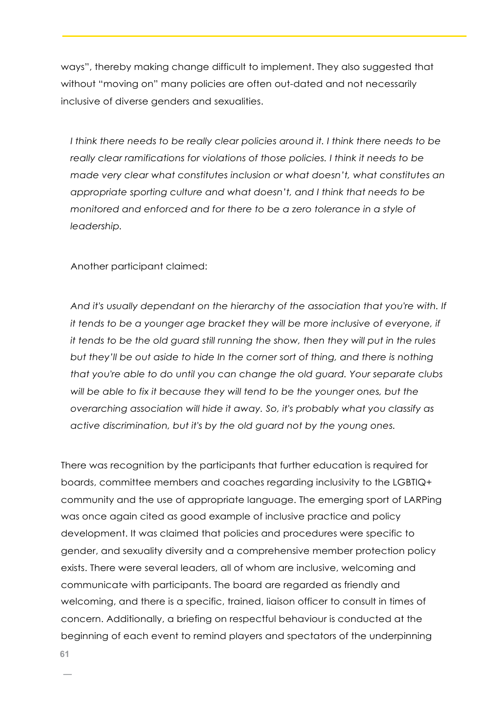ways", thereby making change difficult to implement. They also suggested that without "moving on" many policies are often out-dated and not necessarily inclusive of diverse genders and sexualities.

*I think there needs to be really clear policies around it. I think there needs to be really clear ramifications for violations of those policies. I think it needs to be made very clear what constitutes inclusion or what doesn't, what constitutes an appropriate sporting culture and what doesn't, and I think that needs to be monitored and enforced and for there to be a zero tolerance in a style of leadership.*

Another participant claimed:

And it's usually dependant on the hierarchy of the association that you're with. If *it tends to be a younger age bracket they will be more inclusive of everyone, if it tends to be the old guard still running the show, then they will put in the rules*  but they'll be out aside to hide In the corner sort of thing, and there is nothing *that you're able to do until you can change the old guard. Your separate clubs*  will be able to fix it because they will tend to be the younger ones, but the *overarching association will hide it away. So, it's probably what you classify as active discrimination, but it's by the old guard not by the young ones.*

There was recognition by the participants that further education is required for boards, committee members and coaches regarding inclusivity to the LGBTIQ+ community and the use of appropriate language. The emerging sport of LARPing was once again cited as good example of inclusive practice and policy development. It was claimed that policies and procedures were specific to gender, and sexuality diversity and a comprehensive member protection policy exists. There were several leaders, all of whom are inclusive, welcoming and communicate with participants. The board are regarded as friendly and welcoming, and there is a specific, trained, liaison officer to consult in times of concern. Additionally, a briefing on respectful behaviour is conducted at the beginning of each event to remind players and spectators of the underpinning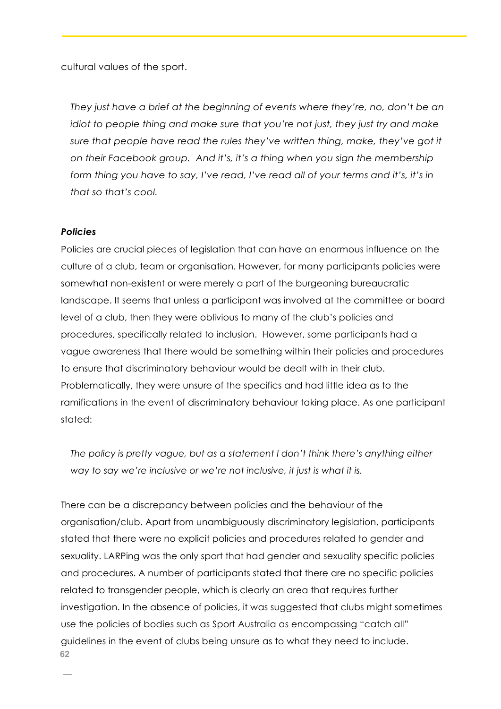cultural values of the sport.

*They just have a brief at the beginning of events where they're, no, don't be an idiot to people thing and make sure that you're not just, they just try and make sure that people have read the rules they've written thing, make, they've got it on their Facebook group. And it's, it's a thing when you sign the membership form thing you have to say, I've read, I've read all of your terms and it's, it's in that so that's cool.*

#### *Policies*

Policies are crucial pieces of legislation that can have an enormous influence on the culture of a club, team or organisation. However, for many participants policies were somewhat non-existent or were merely a part of the burgeoning bureaucratic landscape. It seems that unless a participant was involved at the committee or board level of a club, then they were oblivious to many of the club's policies and procedures, specifically related to inclusion. However, some participants had a vague awareness that there would be something within their policies and procedures to ensure that discriminatory behaviour would be dealt with in their club. Problematically, they were unsure of the specifics and had little idea as to the ramifications in the event of discriminatory behaviour taking place. As one participant stated:

*The policy is pretty vague, but as a statement I don't think there's anything either way to say we're inclusive or we're not inclusive, it just is what it is.*

**62** There can be a discrepancy between policies and the behaviour of the organisation/club. Apart from unambiguously discriminatory legislation, participants stated that there were no explicit policies and procedures related to gender and sexuality. LARPing was the only sport that had gender and sexuality specific policies and procedures. A number of participants stated that there are no specific policies related to transgender people, which is clearly an area that requires further investigation. In the absence of policies, it was suggested that clubs might sometimes use the policies of bodies such as Sport Australia as encompassing "catch all" guidelines in the event of clubs being unsure as to what they need to include.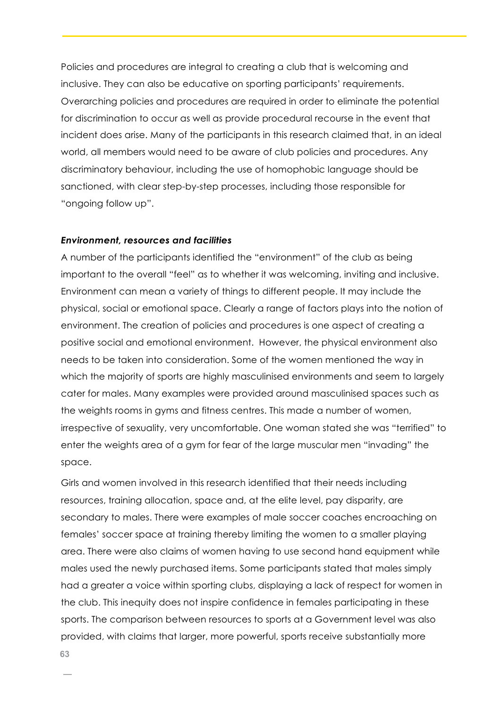Policies and procedures are integral to creating a club that is welcoming and inclusive. They can also be educative on sporting participants' requirements. Overarching policies and procedures are required in order to eliminate the potential for discrimination to occur as well as provide procedural recourse in the event that incident does arise. Many of the participants in this research claimed that, in an ideal world, all members would need to be aware of club policies and procedures. Any discriminatory behaviour, including the use of homophobic language should be sanctioned, with clear step-by-step processes, including those responsible for "ongoing follow up".

#### *Environment, resources and facilities*

A number of the participants identified the "environment" of the club as being important to the overall "feel" as to whether it was welcoming, inviting and inclusive. Environment can mean a variety of things to different people. It may include the physical, social or emotional space. Clearly a range of factors plays into the notion of environment. The creation of policies and procedures is one aspect of creating a positive social and emotional environment. However, the physical environment also needs to be taken into consideration. Some of the women mentioned the way in which the majority of sports are highly masculinised environments and seem to largely cater for males. Many examples were provided around masculinised spaces such as the weights rooms in gyms and fitness centres. This made a number of women, irrespective of sexuality, very uncomfortable. One woman stated she was "terrified" to enter the weights area of a gym for fear of the large muscular men "invading" the space.

Girls and women involved in this research identified that their needs including resources, training allocation, space and, at the elite level, pay disparity, are secondary to males. There were examples of male soccer coaches encroaching on females' soccer space at training thereby limiting the women to a smaller playing area. There were also claims of women having to use second hand equipment while males used the newly purchased items. Some participants stated that males simply had a greater a voice within sporting clubs, displaying a lack of respect for women in the club. This inequity does not inspire confidence in females participating in these sports. The comparison between resources to sports at a Government level was also provided, with claims that larger, more powerful, sports receive substantially more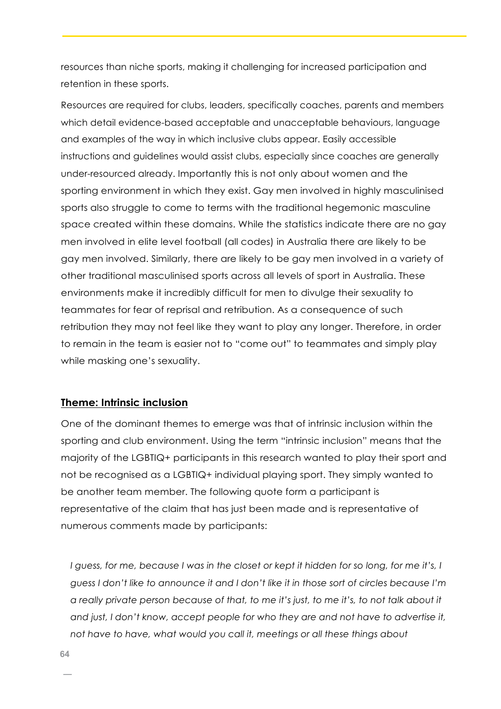resources than niche sports, making it challenging for increased participation and retention in these sports.

Resources are required for clubs, leaders, specifically coaches, parents and members which detail evidence-based acceptable and unacceptable behaviours, language and examples of the way in which inclusive clubs appear. Easily accessible instructions and guidelines would assist clubs, especially since coaches are generally under-resourced already. Importantly this is not only about women and the sporting environment in which they exist. Gay men involved in highly masculinised sports also struggle to come to terms with the traditional hegemonic masculine space created within these domains. While the statistics indicate there are no gay men involved in elite level football (all codes) in Australia there are likely to be gay men involved. Similarly, there are likely to be gay men involved in a variety of other traditional masculinised sports across all levels of sport in Australia. These environments make it incredibly difficult for men to divulge their sexuality to teammates for fear of reprisal and retribution. As a consequence of such retribution they may not feel like they want to play any longer. Therefore, in order to remain in the team is easier not to "come out" to teammates and simply play while masking one's sexuality.

### **Theme: Intrinsic inclusion**

One of the dominant themes to emerge was that of intrinsic inclusion within the sporting and club environment. Using the term "intrinsic inclusion" means that the majority of the LGBTIQ+ participants in this research wanted to play their sport and not be recognised as a LGBTIQ+ individual playing sport. They simply wanted to be another team member. The following quote form a participant is representative of the claim that has just been made and is representative of numerous comments made by participants:

*I guess, for me, because I was in the closet or kept it hidden for so long, for me it's, I guess I don't like to announce it and I don't like it in those sort of circles because I'm a really private person because of that, to me it's just, to me it's, to not talk about it and just, I don't know, accept people for who they are and not have to advertise it, not have to have, what would you call it, meetings or all these things about*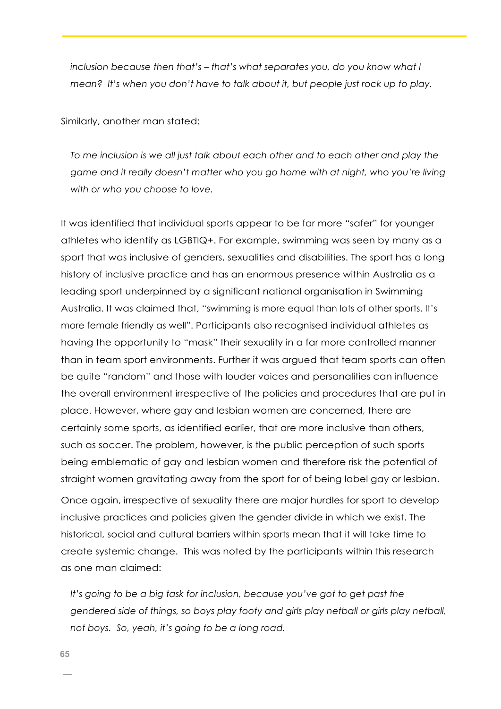*inclusion because then that's – that's what separates you, do you know what I mean? It's when you don't have to talk about it, but people just rock up to play.*

Similarly, another man stated:

*To me inclusion is we all just talk about each other and to each other and play the game and it really doesn't matter who you go home with at night, who you're living with or who you choose to love.*

It was identified that individual sports appear to be far more "safer" for younger athletes who identify as LGBTIQ+. For example, swimming was seen by many as a sport that was inclusive of genders, sexualities and disabilities. The sport has a long history of inclusive practice and has an enormous presence within Australia as a leading sport underpinned by a significant national organisation in Swimming Australia. It was claimed that, "swimming is more equal than lots of other sports. It's more female friendly as well". Participants also recognised individual athletes as having the opportunity to "mask" their sexuality in a far more controlled manner than in team sport environments. Further it was argued that team sports can often be quite "random" and those with louder voices and personalities can influence the overall environment irrespective of the policies and procedures that are put in place. However, where gay and lesbian women are concerned, there are certainly some sports, as identified earlier, that are more inclusive than others, such as soccer. The problem, however, is the public perception of such sports being emblematic of gay and lesbian women and therefore risk the potential of straight women gravitating away from the sport for of being label gay or lesbian.

Once again, irrespective of sexuality there are major hurdles for sport to develop inclusive practices and policies given the gender divide in which we exist. The historical, social and cultural barriers within sports mean that it will take time to create systemic change. This was noted by the participants within this research as one man claimed:

It's going to be a big task for inclusion, because you've got to get past the *gendered side of things, so boys play footy and girls play netball or girls play netball, not boys. So, yeah, it's going to be a long road.*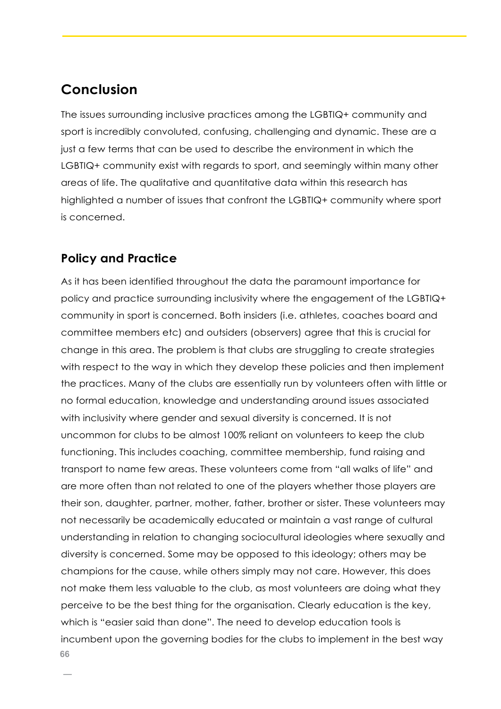# **Conclusion**

The issues surrounding inclusive practices among the LGBTIQ+ community and sport is incredibly convoluted, confusing, challenging and dynamic. These are a just a few terms that can be used to describe the environment in which the LGBTIQ+ community exist with regards to sport, and seemingly within many other areas of life. The qualitative and quantitative data within this research has highlighted a number of issues that confront the LGBTIQ+ community where sport is concerned.

## **Policy and Practice**

**66** As it has been identified throughout the data the paramount importance for policy and practice surrounding inclusivity where the engagement of the LGBTIQ+ community in sport is concerned. Both insiders (i.e. athletes, coaches board and committee members etc) and outsiders (observers) agree that this is crucial for change in this area. The problem is that clubs are struggling to create strategies with respect to the way in which they develop these policies and then implement the practices. Many of the clubs are essentially run by volunteers often with little or no formal education, knowledge and understanding around issues associated with inclusivity where gender and sexual diversity is concerned. It is not uncommon for clubs to be almost 100% reliant on volunteers to keep the club functioning. This includes coaching, committee membership, fund raising and transport to name few areas. These volunteers come from "all walks of life" and are more often than not related to one of the players whether those players are their son, daughter, partner, mother, father, brother or sister. These volunteers may not necessarily be academically educated or maintain a vast range of cultural understanding in relation to changing sociocultural ideologies where sexually and diversity is concerned. Some may be opposed to this ideology; others may be champions for the cause, while others simply may not care. However, this does not make them less valuable to the club, as most volunteers are doing what they perceive to be the best thing for the organisation. Clearly education is the key, which is "easier said than done". The need to develop education tools is incumbent upon the governing bodies for the clubs to implement in the best way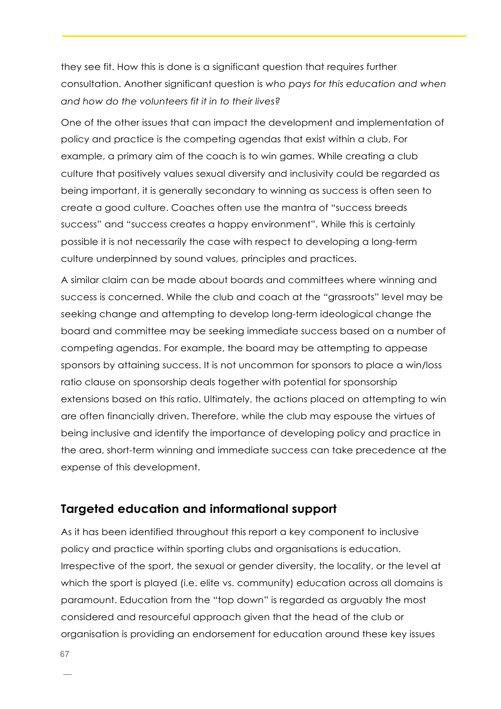they see fit. How this is done is a significant question that requires further consultation. Another significant question is *who pays for this education and when and how do the volunteers fit it in to their lives?*

One of the other issues that can impact the development and implementation of policy and practice is the competing agendas that exist within a club. For example, a primary aim of the coach is to win games. While creating a club culture that positively values sexual diversity and inclusivity could be regarded as being important, it is generally secondary to winning as success is often seen to create a good culture. Coaches often use the mantra of "success breeds success" and "success creates a happy environment". While this is certainly possible it is not necessarily the case with respect to developing a long-term culture underpinned by sound values, principles and practices.

A similar claim can be made about boards and committees where winning and success is concerned. While the club and coach at the "grassroots" level may be seeking change and attempting to develop long-term ideological change the board and committee may be seeking immediate success based on a number of competing agendas. For example, the board may be attempting to appease sponsors by attaining success. It is not uncommon for sponsors to place a win/loss ratio clause on sponsorship deals together with potential for sponsorship extensions based on this ratio. Ultimately, the actions placed on attempting to win are often financially driven. Therefore, while the club may espouse the virtues of being inclusive and identify the importance of developing policy and practice in the area, short-term winning and immediate success can take precedence at the expense of this development.

## **Targeted education and informational support**

As it has been identified throughout this report a key component to inclusive policy and practice within sporting clubs and organisations is education. Irrespective of the sport, the sexual or gender diversity, the locality, or the level at which the sport is played (i.e. elite vs. community) education across all domains is paramount. Education from the "top down" is regarded as arguably the most considered and resourceful approach given that the head of the club or organisation is providing an endorsement for education around these key issues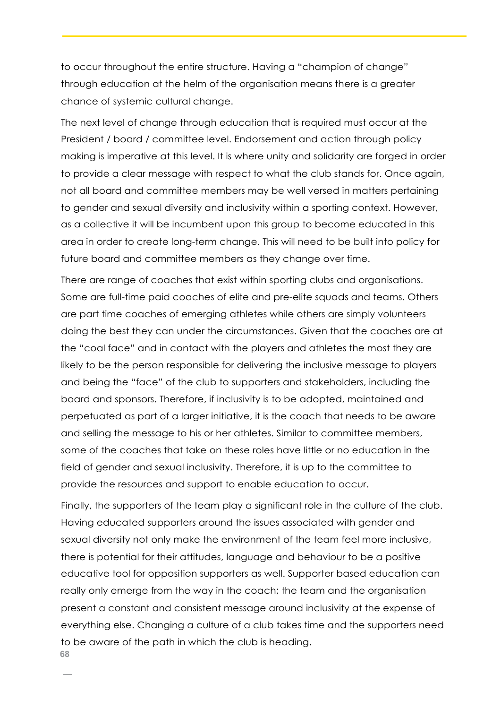to occur throughout the entire structure. Having a "champion of change" through education at the helm of the organisation means there is a greater chance of systemic cultural change.

The next level of change through education that is required must occur at the President / board / committee level. Endorsement and action through policy making is imperative at this level. It is where unity and solidarity are forged in order to provide a clear message with respect to what the club stands for. Once again, not all board and committee members may be well versed in matters pertaining to gender and sexual diversity and inclusivity within a sporting context. However, as a collective it will be incumbent upon this group to become educated in this area in order to create long-term change. This will need to be built into policy for future board and committee members as they change over time.

There are range of coaches that exist within sporting clubs and organisations. Some are full-time paid coaches of elite and pre-elite squads and teams. Others are part time coaches of emerging athletes while others are simply volunteers doing the best they can under the circumstances. Given that the coaches are at the "coal face" and in contact with the players and athletes the most they are likely to be the person responsible for delivering the inclusive message to players and being the "face" of the club to supporters and stakeholders, including the board and sponsors. Therefore, if inclusivity is to be adopted, maintained and perpetuated as part of a larger initiative, it is the coach that needs to be aware and selling the message to his or her athletes. Similar to committee members, some of the coaches that take on these roles have little or no education in the field of gender and sexual inclusivity. Therefore, it is up to the committee to provide the resources and support to enable education to occur.

**68** Finally, the supporters of the team play a significant role in the culture of the club. Having educated supporters around the issues associated with gender and sexual diversity not only make the environment of the team feel more inclusive, there is potential for their attitudes, language and behaviour to be a positive educative tool for opposition supporters as well. Supporter based education can really only emerge from the way in the coach; the team and the organisation present a constant and consistent message around inclusivity at the expense of everything else. Changing a culture of a club takes time and the supporters need to be aware of the path in which the club is heading.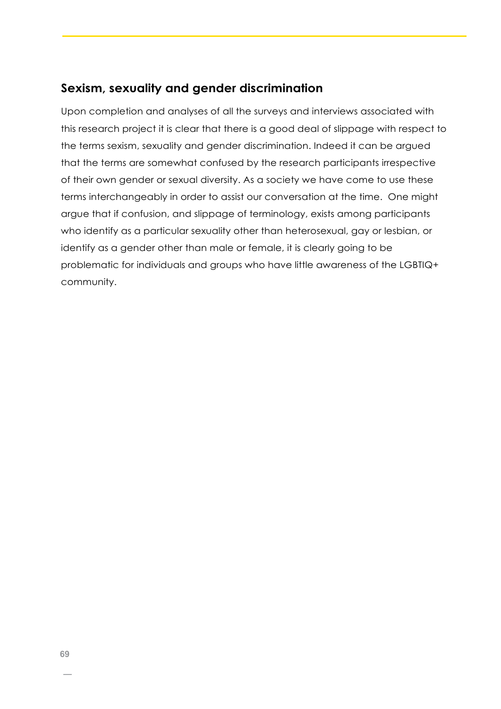## **Sexism, sexuality and gender discrimination**

Upon completion and analyses of all the surveys and interviews associated with this research project it is clear that there is a good deal of slippage with respect to the terms sexism, sexuality and gender discrimination. Indeed it can be argued that the terms are somewhat confused by the research participants irrespective of their own gender or sexual diversity. As a society we have come to use these terms interchangeably in order to assist our conversation at the time. One might argue that if confusion, and slippage of terminology, exists among participants who identify as a particular sexuality other than heterosexual, gay or lesbian, or identify as a gender other than male or female, it is clearly going to be problematic for individuals and groups who have little awareness of the LGBTIQ+ community.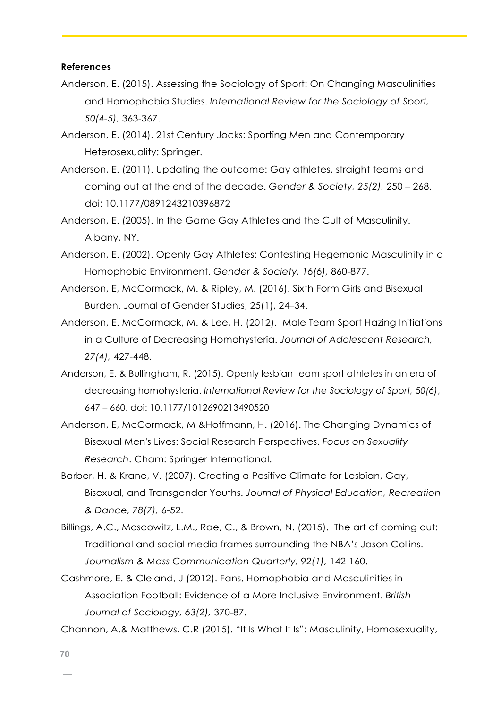#### **References**

- Anderson, E. (2015). Assessing the Sociology of Sport: On Changing Masculinities and Homophobia Studies. *International Review for the Sociology of Sport, 50(4-5),* 363-367.
- Anderson, E. (2014). 21st Century Jocks: Sporting Men and Contemporary Heterosexuality: Springer.
- Anderson, E. (2011). Updating the outcome: Gay athletes, straight teams and coming out at the end of the decade. *Gender & Society, 25(2),* 250 – 268. doi: 10.1177/0891243210396872
- Anderson, E. (2005). In the Game Gay Athletes and the Cult of Masculinity. Albany, NY.
- Anderson, E. (2002). Openly Gay Athletes: Contesting Hegemonic Masculinity in a Homophobic Environment. *Gender & Society, 16(6),* 860-877.
- Anderson, E, McCormack, M. & Ripley, M. (2016). Sixth Form Girls and Bisexual Burden. Journal of Gender Studies, 25(1), 24–34.
- Anderson, E. McCormack, M. & Lee, H. (2012). Male Team Sport Hazing Initiations in a Culture of Decreasing Homohysteria. *Journal of Adolescent Research, 27(4),* 427-448.
- Anderson, E. & Bullingham, R. (2015). Openly lesbian team sport athletes in an era of decreasing homohysteria. *International Review for the Sociology of Sport,* 5*0(6)*, 647 – 660. doi: 10.1177/1012690213490520
- Anderson, E, McCormack, M &Hoffmann, H. (2016). The Changing Dynamics of Bisexual Men's Lives: Social Research Perspectives. *Focus on Sexuality Research*. Cham: Springer International.
- Barber, H. & Krane, V. (2007). Creating a Positive Climate for Lesbian, Gay, Bisexual, and Transgender Youths. *Journal of Physical Education, Recreation & Dance, 78(7),* 6-52.
- Billings, A.C., Moscowitz, L.M., Rae, C., & Brown, N. (2015). The art of coming out: Traditional and social media frames surrounding the NBA's Jason Collins. *Journalism & Mass Communication Quarterly, 92(1),* 142-160.
- Cashmore, E. & Cleland, J (2012). Fans, Homophobia and Masculinities in Association Football: Evidence of a More Inclusive Environment. *British Journal of Sociology, 63(2),* 370-87.

Channon, A.& Matthews, C.R (2015). "It Is What It Is": Masculinity, Homosexuality,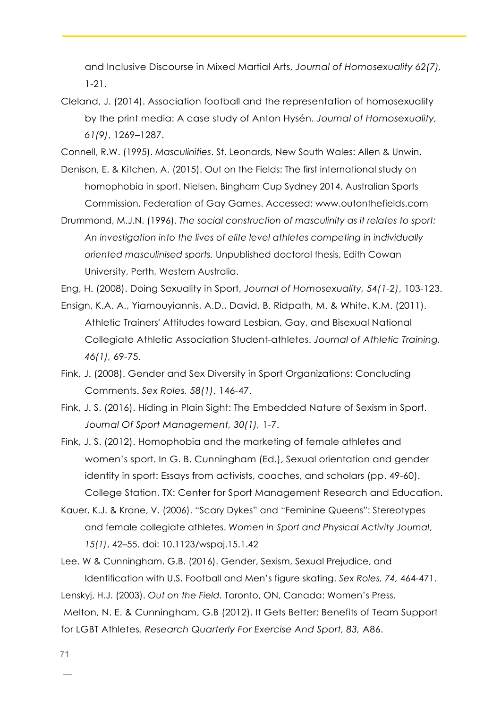and Inclusive Discourse in Mixed Martial Arts. *Journal of Homosexuality 62(7),* 1-21.

Cleland, J. (2014). Association football and the representation of homosexuality by the print media: A case study of Anton Hysén. *Journal of Homosexuality, 61(9)*, 1269–1287.

Connell, R.W. (1995). *Masculinities*. St. Leonards, New South Wales: Allen & Unwin.

- Denison, E. & Kitchen, A. (2015). Out on the Fields: The first international study on homophobia in sport. Nielsen, Bingham Cup Sydney 2014, Australian Sports Commission, Federation of Gay Games. Accessed: www.outonthefields.com
- Drummond, M.J.N. (1996). *The social construction of masculinity as it relates to sport: An investigation into the lives of elite level athletes competing in individually oriented masculinised sports.* Unpublished doctoral thesis, Edith Cowan University, Perth, Western Australia.

Eng, H. (2008). Doing Sexuality in Sport, *Journal of Homosexuality, 54(1-2)*, 103-123.

- Ensign, K.A. A., Yiamouyiannis, A.D., David, B. Ridpath, M. & White, K.M. (2011). Athletic Trainers' Attitudes toward Lesbian, Gay, and Bisexual National Collegiate Athletic Association Student-athletes. *Journal of Athletic Training, 46(1),* 69-75.
- Fink, J. (2008). Gender and Sex Diversity in Sport Organizations: Concluding Comments. *Sex Roles, 58(1)*, 146-47.
- Fink, J. S. (2016). Hiding in Plain Sight: The Embedded Nature of Sexism in Sport. *Journal Of Sport Management, 30(1),* 1-7.
- Fink, J. S. (2012). Homophobia and the marketing of female athletes and women's sport. In G. B. Cunningham (Ed.), Sexual orientation and gender identity in sport: Essays from activists, coaches, and scholars (pp. 49-60). College Station, TX: Center for Sport Management Research and Education.
- Kauer, K.J. & Krane, V. (2006). "Scary Dykes" and "Feminine Queens": Stereotypes and female collegiate athletes. *Women in Sport and Physical Activity Journal*, *15(1)*, 42–55. doi: 10.1123/wspaj.15.1.42
- Lee. W & Cunningham. G.B. (2016). Gender, Sexism, Sexual Prejudice, and Identification with U.S. Football and Men's figure skating. *Sex Roles, 74,* 464-471.

Lenskyj, H.J. (2003). *Out on the Field.* Toronto, ON, Canada: Women's Press.

Melton, N. E. & Cunningham, G.B (2012). It Gets Better: Benefits of Team Support for LGBT Athletes*. Research Quarterly For Exercise And Sport, 83,* A86.